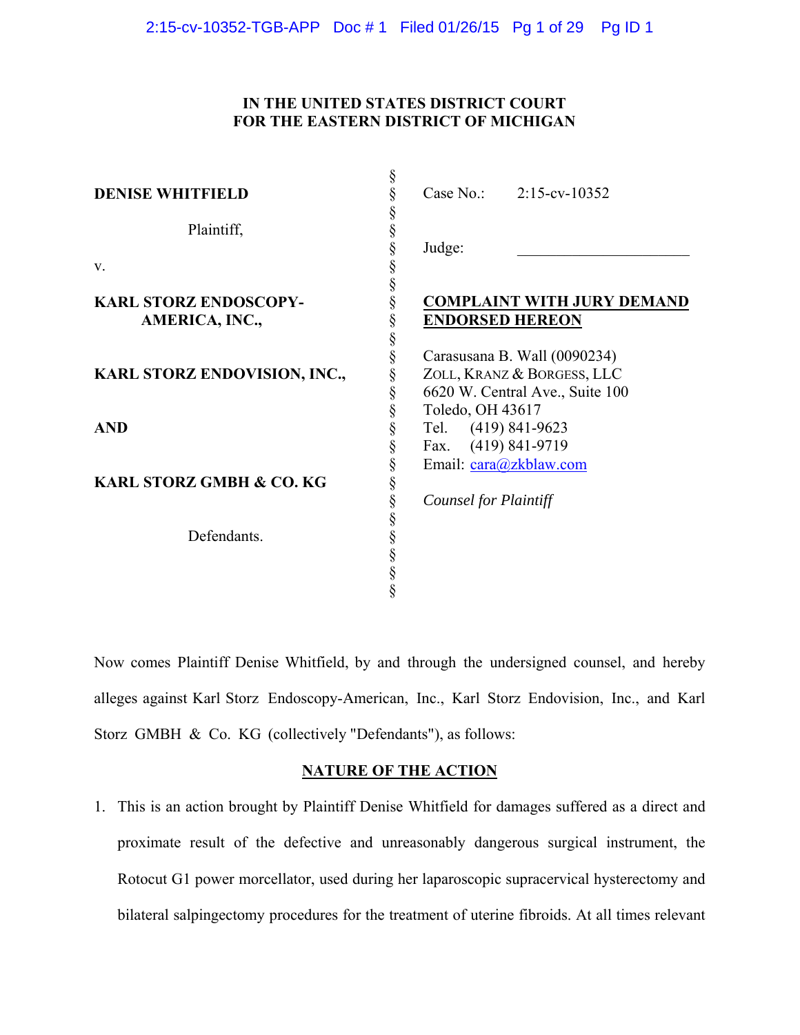#### **IN THE UNITED STATES DISTRICT COURT FOR THE EASTERN DISTRICT OF MICHIGAN**

| <b>DENISE WHITFIELD</b>                        | §<br>Case No.: 2:15-cv-10352                                                                                 |
|------------------------------------------------|--------------------------------------------------------------------------------------------------------------|
| Plaintiff,<br>V.                               | Judge:                                                                                                       |
| <b>KARL STORZ ENDOSCOPY-</b><br>AMERICA, INC., | §<br><b>COMPLAINT WITH JURY DEMAND</b><br>§<br><b>ENDORSED HEREON</b>                                        |
| KARL STORZ ENDOVISION, INC.,                   | §<br>§<br>Carasusana B. Wall (0090234)<br>ZOLL, KRANZ & BORGESS, LLC<br>§<br>6620 W. Central Ave., Suite 100 |
| <b>AND</b>                                     | §<br>Toledo, OH 43617<br>§<br>$(419)$ 841-9623<br>Tel.<br>§<br>$(419) 841 - 9719$<br>Fax.                    |
| <b>KARL STORZ GMBH &amp; CO. KG</b>            | Email: cara@zkblaw.com<br>§<br>8<br>§<br><b>Counsel for Plaintiff</b>                                        |
| Defendants.                                    |                                                                                                              |
|                                                |                                                                                                              |

Now comes Plaintiff Denise Whitfield, by and through the undersigned counsel, and hereby alleges against Karl Storz Endoscopy-American, Inc., Karl Storz Endovision, Inc., and Karl Storz GMBH & Co. KG (collectively "Defendants"), as follows:

#### **NATURE OF THE ACTION**

1. This is an action brought by Plaintiff Denise Whitfield for damages suffered as a direct and proximate result of the defective and unreasonably dangerous surgical instrument, the Rotocut G1 power morcellator, used during her laparoscopic supracervical hysterectomy and bilateral salpingectomy procedures for the treatment of uterine fibroids. At all times relevant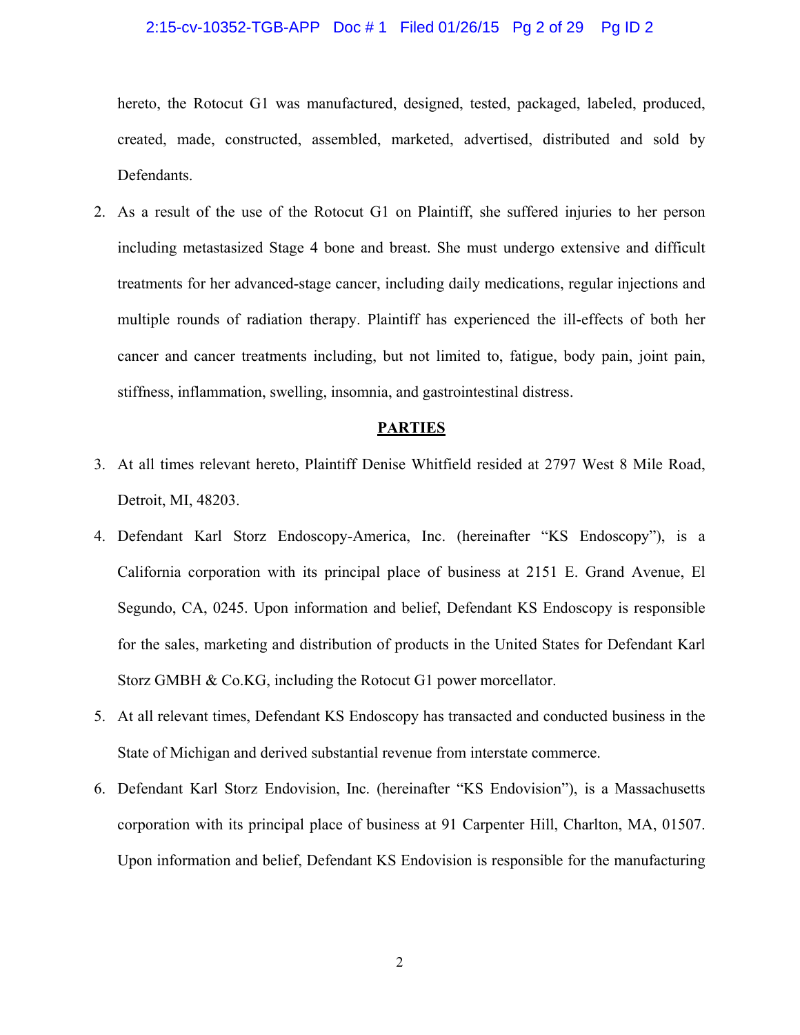# 2:15-cv-10352-TGB-APP Doc # 1 Filed 01/26/15 Pg 2 of 29 Pg ID 2

hereto, the Rotocut G1 was manufactured, designed, tested, packaged, labeled, produced, created, made, constructed, assembled, marketed, advertised, distributed and sold by Defendants.

2. As a result of the use of the Rotocut G1 on Plaintiff, she suffered injuries to her person including metastasized Stage 4 bone and breast. She must undergo extensive and difficult treatments for her advanced-stage cancer, including daily medications, regular injections and multiple rounds of radiation therapy. Plaintiff has experienced the ill-effects of both her cancer and cancer treatments including, but not limited to, fatigue, body pain, joint pain, stiffness, inflammation, swelling, insomnia, and gastrointestinal distress.

#### **PARTIES**

- 3. At all times relevant hereto, Plaintiff Denise Whitfield resided at 2797 West 8 Mile Road, Detroit, MI, 48203.
- 4. Defendant Karl Storz Endoscopy-America, Inc. (hereinafter "KS Endoscopy"), is a California corporation with its principal place of business at 2151 E. Grand Avenue, El Segundo, CA, 0245. Upon information and belief, Defendant KS Endoscopy is responsible for the sales, marketing and distribution of products in the United States for Defendant Karl Storz GMBH & Co.KG, including the Rotocut G1 power morcellator.
- 5. At all relevant times, Defendant KS Endoscopy has transacted and conducted business in the State of Michigan and derived substantial revenue from interstate commerce.
- 6. Defendant Karl Storz Endovision, Inc. (hereinafter "KS Endovision"), is a Massachusetts corporation with its principal place of business at 91 Carpenter Hill, Charlton, MA, 01507. Upon information and belief, Defendant KS Endovision is responsible for the manufacturing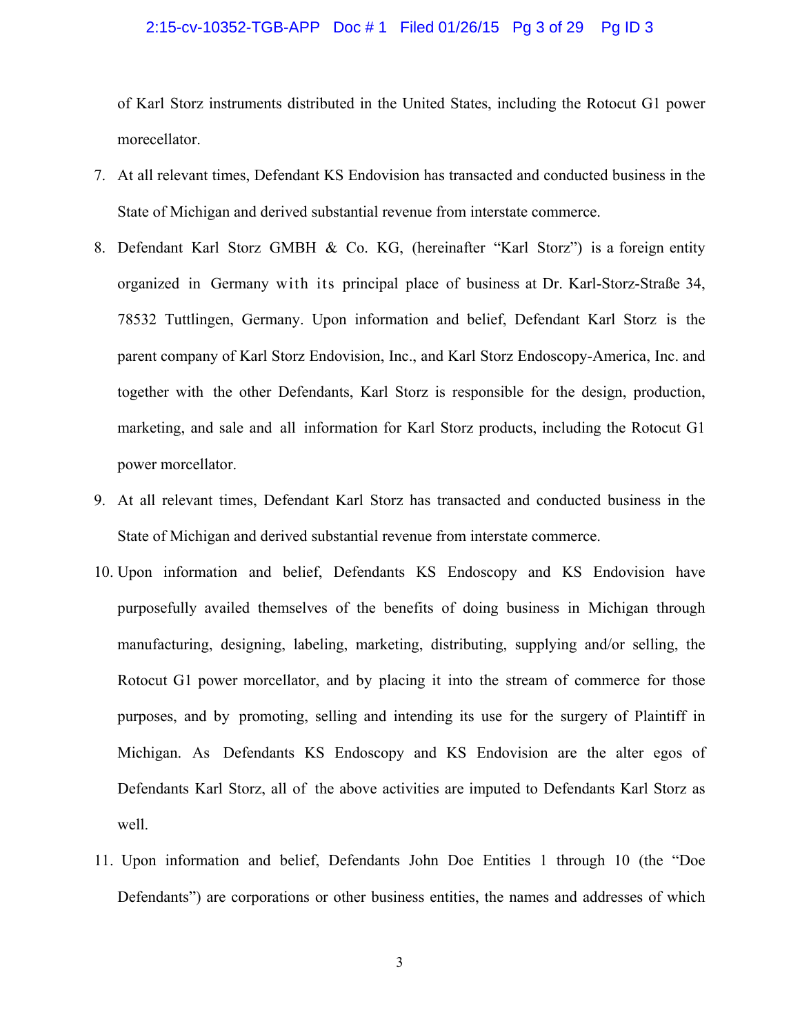# 2:15-cv-10352-TGB-APP Doc # 1 Filed 01/26/15 Pg 3 of 29 Pg ID 3

of Karl Storz instruments distributed in the United States, including the Rotocut G1 power morecellator.

- 7. At all relevant times, Defendant KS Endovision has transacted and conducted business in the State of Michigan and derived substantial revenue from interstate commerce.
- 8. Defendant Karl Storz GMBH & Co. KG, (hereinafter "Karl Storz") is a foreign entity organized in Germany with its principal place of business at Dr. Karl-Storz-Straße 34, 78532 Tuttlingen, Germany. Upon information and belief, Defendant Karl Storz is the parent company of Karl Storz Endovision, Inc., and Karl Storz Endoscopy-America, Inc. and together with the other Defendants, Karl Storz is responsible for the design, production, marketing, and sale and all information for Karl Storz products, including the Rotocut G1 power morcellator.
- 9. At all relevant times, Defendant Karl Storz has transacted and conducted business in the State of Michigan and derived substantial revenue from interstate commerce.
- 10. Upon information and belief, Defendants KS Endoscopy and KS Endovision have purposefully availed themselves of the benefits of doing business in Michigan through manufacturing, designing, labeling, marketing, distributing, supplying and/or selling, the Rotocut G1 power morcellator, and by placing it into the stream of commerce for those purposes, and by promoting, selling and intending its use for the surgery of Plaintiff in Michigan. As Defendants KS Endoscopy and KS Endovision are the alter egos of Defendants Karl Storz, all of the above activities are imputed to Defendants Karl Storz as well.
- 11. Upon information and belief, Defendants John Doe Entities 1 through 10 (the "Doe Defendants") are corporations or other business entities, the names and addresses of which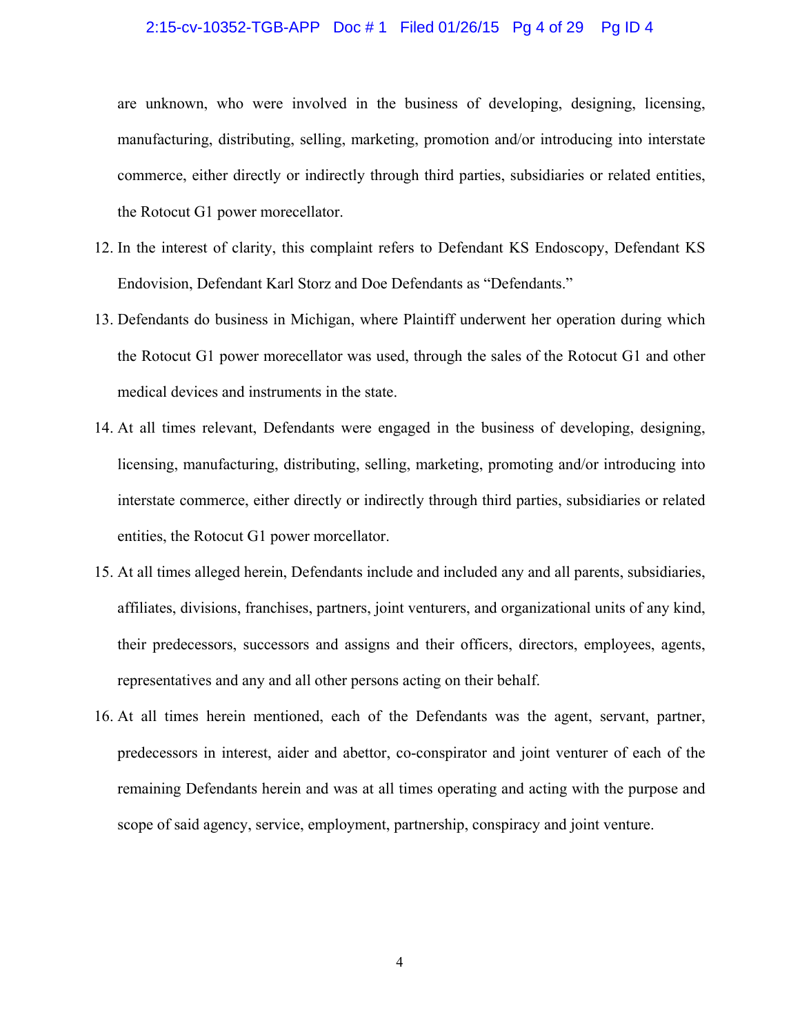# 2:15-cv-10352-TGB-APP Doc # 1 Filed 01/26/15 Pg 4 of 29 Pg ID 4

are unknown, who were involved in the business of developing, designing, licensing, manufacturing, distributing, selling, marketing, promotion and/or introducing into interstate commerce, either directly or indirectly through third parties, subsidiaries or related entities, the Rotocut G1 power morecellator.

- 12. In the interest of clarity, this complaint refers to Defendant KS Endoscopy, Defendant KS Endovision, Defendant Karl Storz and Doe Defendants as "Defendants."
- 13. Defendants do business in Michigan, where Plaintiff underwent her operation during which the Rotocut G1 power morecellator was used, through the sales of the Rotocut G1 and other medical devices and instruments in the state.
- 14. At all times relevant, Defendants were engaged in the business of developing, designing, licensing, manufacturing, distributing, selling, marketing, promoting and/or introducing into interstate commerce, either directly or indirectly through third parties, subsidiaries or related entities, the Rotocut G1 power morcellator.
- 15. At all times alleged herein, Defendants include and included any and all parents, subsidiaries, affiliates, divisions, franchises, partners, joint venturers, and organizational units of any kind, their predecessors, successors and assigns and their officers, directors, employees, agents, representatives and any and all other persons acting on their behalf.
- 16. At all times herein mentioned, each of the Defendants was the agent, servant, partner, predecessors in interest, aider and abettor, co-conspirator and joint venturer of each of the remaining Defendants herein and was at all times operating and acting with the purpose and scope of said agency, service, employment, partnership, conspiracy and joint venture.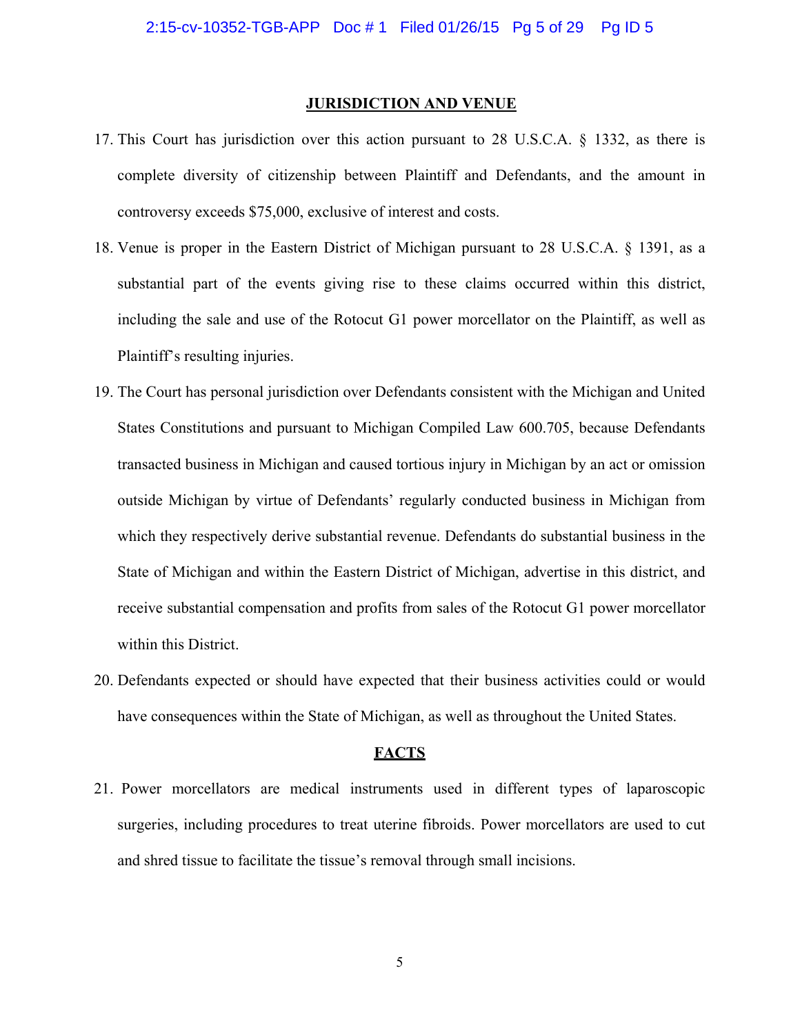#### **JURISDICTION AND VENUE**

- 17. This Court has jurisdiction over this action pursuant to 28 U.S.C.A. § 1332, as there is complete diversity of citizenship between Plaintiff and Defendants, and the amount in controversy exceeds \$75,000, exclusive of interest and costs.
- 18. Venue is proper in the Eastern District of Michigan pursuant to 28 U.S.C.A. § 1391, as a substantial part of the events giving rise to these claims occurred within this district, including the sale and use of the Rotocut G1 power morcellator on the Plaintiff, as well as Plaintiff's resulting injuries.
- 19. The Court has personal jurisdiction over Defendants consistent with the Michigan and United States Constitutions and pursuant to Michigan Compiled Law 600.705, because Defendants transacted business in Michigan and caused tortious injury in Michigan by an act or omission outside Michigan by virtue of Defendants' regularly conducted business in Michigan from which they respectively derive substantial revenue. Defendants do substantial business in the State of Michigan and within the Eastern District of Michigan, advertise in this district, and receive substantial compensation and profits from sales of the Rotocut G1 power morcellator within this District.
- 20. Defendants expected or should have expected that their business activities could or would have consequences within the State of Michigan, as well as throughout the United States.

#### **FACTS**

21. Power morcellators are medical instruments used in different types of laparoscopic surgeries, including procedures to treat uterine fibroids. Power morcellators are used to cut and shred tissue to facilitate the tissue's removal through small incisions.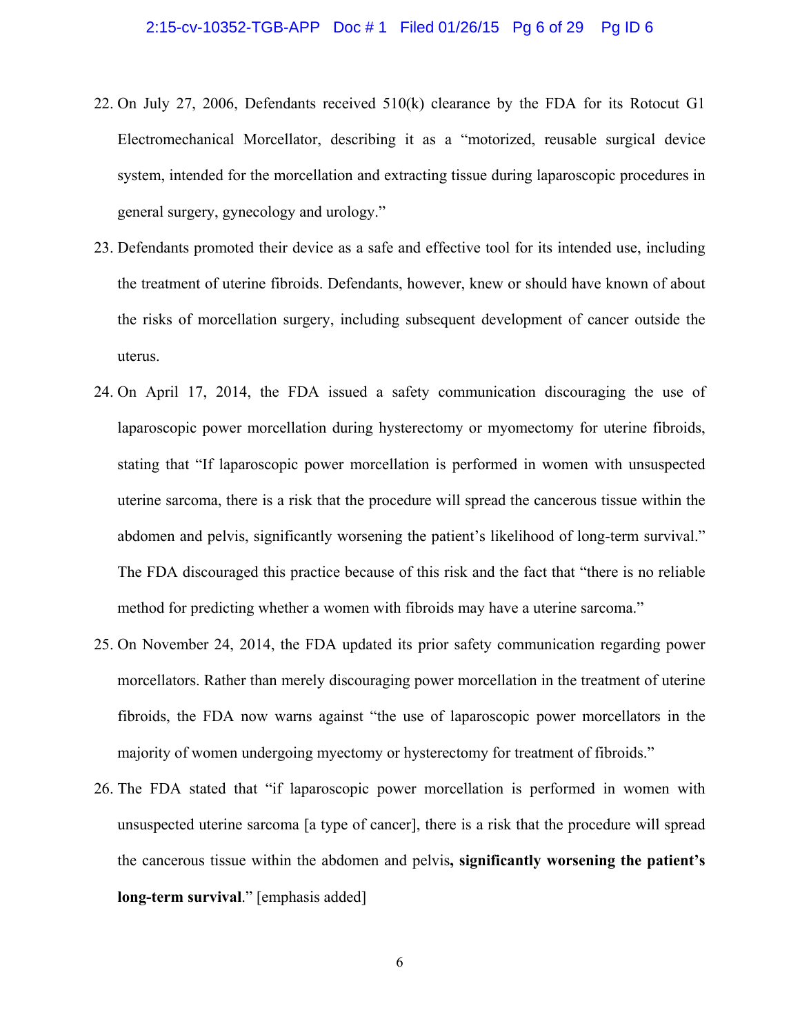- 22. On July 27, 2006, Defendants received 510(k) clearance by the FDA for its Rotocut G1 Electromechanical Morcellator, describing it as a "motorized, reusable surgical device system, intended for the morcellation and extracting tissue during laparoscopic procedures in general surgery, gynecology and urology."
- 23. Defendants promoted their device as a safe and effective tool for its intended use, including the treatment of uterine fibroids. Defendants, however, knew or should have known of about the risks of morcellation surgery, including subsequent development of cancer outside the uterus.
- 24. On April 17, 2014, the FDA issued a safety communication discouraging the use of laparoscopic power morcellation during hysterectomy or myomectomy for uterine fibroids, stating that "If laparoscopic power morcellation is performed in women with unsuspected uterine sarcoma, there is a risk that the procedure will spread the cancerous tissue within the abdomen and pelvis, significantly worsening the patient's likelihood of long-term survival." The FDA discouraged this practice because of this risk and the fact that "there is no reliable method for predicting whether a women with fibroids may have a uterine sarcoma."
- 25. On November 24, 2014, the FDA updated its prior safety communication regarding power morcellators. Rather than merely discouraging power morcellation in the treatment of uterine fibroids, the FDA now warns against "the use of laparoscopic power morcellators in the majority of women undergoing myectomy or hysterectomy for treatment of fibroids."
- 26. The FDA stated that "if laparoscopic power morcellation is performed in women with unsuspected uterine sarcoma [a type of cancer], there is a risk that the procedure will spread the cancerous tissue within the abdomen and pelvis**, significantly worsening the patient's long-term survival**." [emphasis added]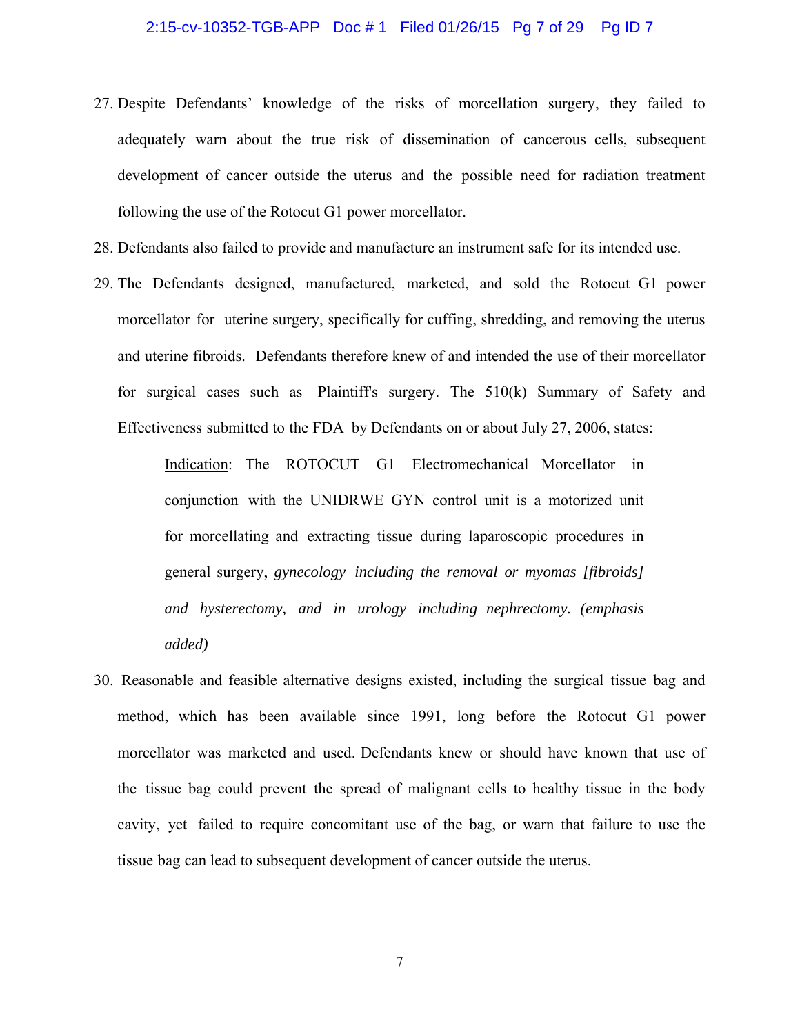# 2:15-cv-10352-TGB-APP Doc # 1 Filed 01/26/15 Pg 7 of 29 Pg ID 7

- 27. Despite Defendants' knowledge of the risks of morcellation surgery, they failed to adequately warn about the true risk of dissemination of cancerous cells, subsequent development of cancer outside the uterus and the possible need for radiation treatment following the use of the Rotocut G1 power morcellator.
- 28. Defendants also failed to provide and manufacture an instrument safe for its intended use.
- 29. The Defendants designed, manufactured, marketed, and sold the Rotocut G1 power morcellator for uterine surgery, specifically for cuffing, shredding, and removing the uterus and uterine fibroids. Defendants therefore knew of and intended the use of their morcellator for surgical cases such as Plaintiff's surgery. The 510(k) Summary of Safety and Effectiveness submitted to the FDA by Defendants on or about July 27, 2006, states:

Indication: The ROTOCUT G1 Electromechanical Morcellator in conjunction with the UNIDRWE GYN control unit is a motorized unit for morcellating and extracting tissue during laparoscopic procedures in general surgery, *gynecology including the removal or myomas [fibroids] and hysterectomy, and in urology including nephrectomy. (emphasis added)* 

30. Reasonable and feasible alternative designs existed, including the surgical tissue bag and method, which has been available since 1991, long before the Rotocut G1 power morcellator was marketed and used. Defendants knew or should have known that use of the tissue bag could prevent the spread of malignant cells to healthy tissue in the body cavity, yet failed to require concomitant use of the bag, or warn that failure to use the tissue bag can lead to subsequent development of cancer outside the uterus.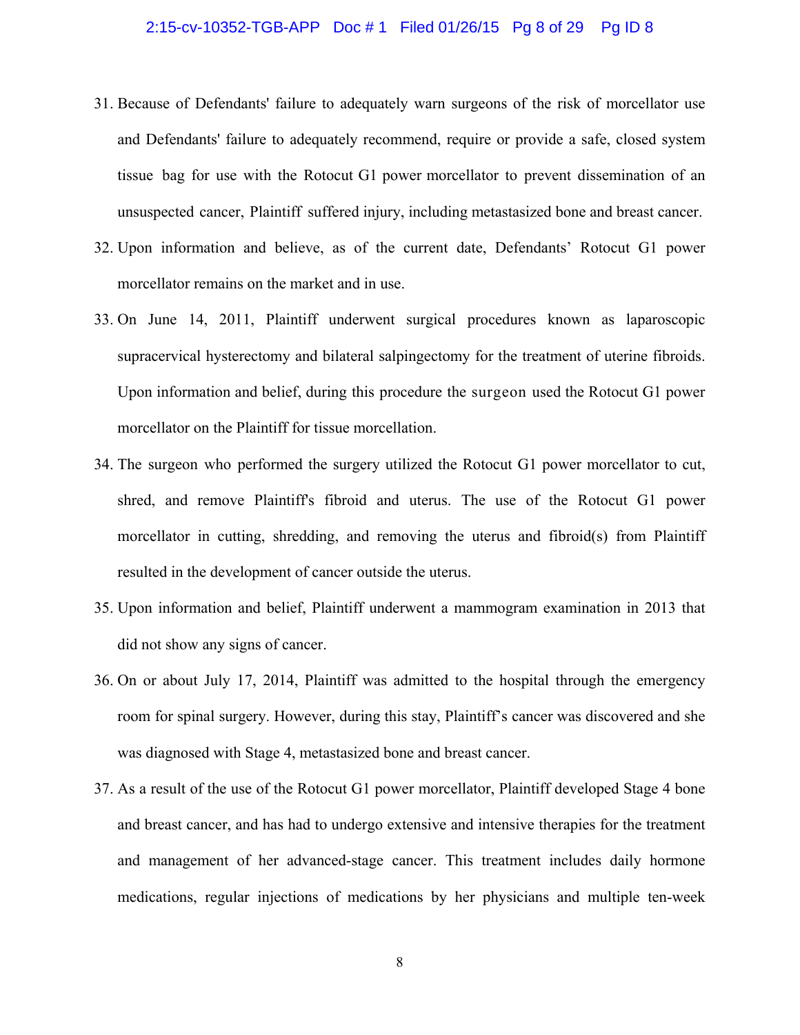# 2:15-cv-10352-TGB-APP Doc # 1 Filed 01/26/15 Pg 8 of 29 Pg ID 8

- 31. Because of Defendants' failure to adequately warn surgeons of the risk of morcellator use and Defendants' failure to adequately recommend, require or provide a safe, closed system tissue bag for use with the Rotocut G1 power morcellator to prevent dissemination of an unsuspected cancer, Plaintiff suffered injury, including metastasized bone and breast cancer.
- 32. Upon information and believe, as of the current date, Defendants' Rotocut G1 power morcellator remains on the market and in use.
- 33. On June 14, 2011, Plaintiff underwent surgical procedures known as laparoscopic supracervical hysterectomy and bilateral salpingectomy for the treatment of uterine fibroids. Upon information and belief, during this procedure the surgeon used the Rotocut G1 power morcellator on the Plaintiff for tissue morcellation.
- 34. The surgeon who performed the surgery utilized the Rotocut G1 power morcellator to cut, shred, and remove Plaintiff's fibroid and uterus. The use of the Rotocut G1 power morcellator in cutting, shredding, and removing the uterus and fibroid(s) from Plaintiff resulted in the development of cancer outside the uterus.
- 35. Upon information and belief, Plaintiff underwent a mammogram examination in 2013 that did not show any signs of cancer.
- 36. On or about July 17, 2014, Plaintiff was admitted to the hospital through the emergency room for spinal surgery. However, during this stay, Plaintiff's cancer was discovered and she was diagnosed with Stage 4, metastasized bone and breast cancer.
- 37. As a result of the use of the Rotocut G1 power morcellator, Plaintiff developed Stage 4 bone and breast cancer, and has had to undergo extensive and intensive therapies for the treatment and management of her advanced-stage cancer. This treatment includes daily hormone medications, regular injections of medications by her physicians and multiple ten-week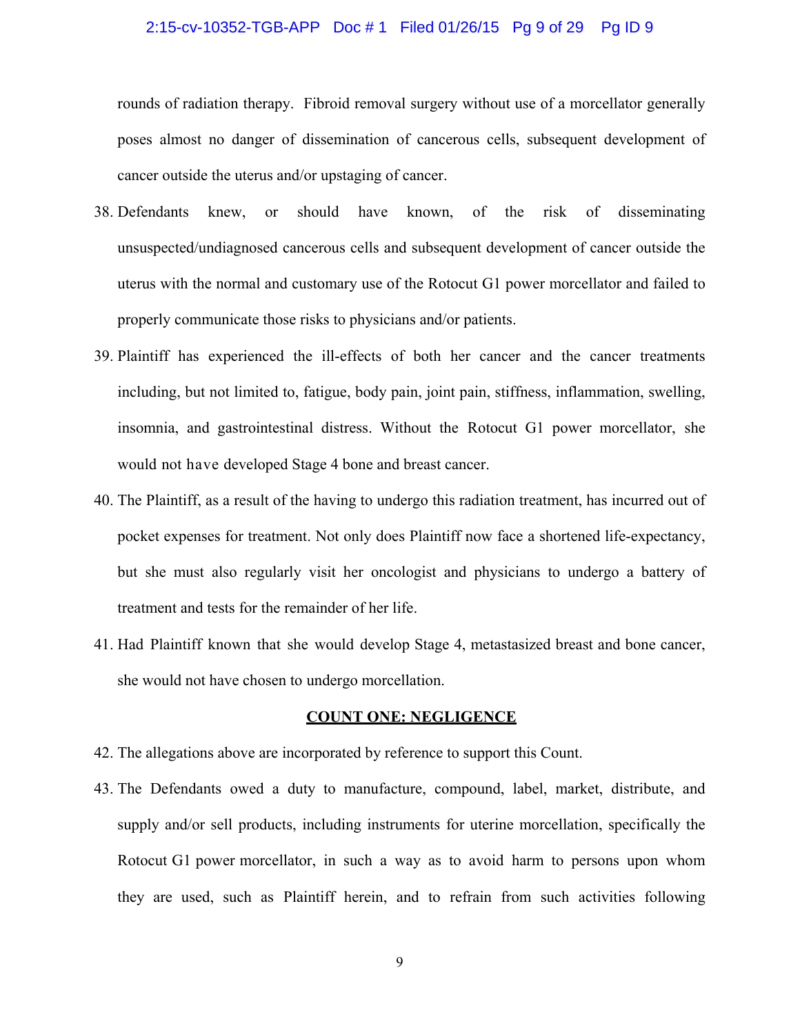# 2:15-cv-10352-TGB-APP Doc # 1 Filed 01/26/15 Pg 9 of 29 Pg ID 9

rounds of radiation therapy. Fibroid removal surgery without use of a morcellator generally poses almost no danger of dissemination of cancerous cells, subsequent development of cancer outside the uterus and/or upstaging of cancer.

- 38. Defendants knew, or should have known, of the risk of disseminating unsuspected/undiagnosed cancerous cells and subsequent development of cancer outside the uterus with the normal and customary use of the Rotocut G1 power morcellator and failed to properly communicate those risks to physicians and/or patients.
- 39. Plaintiff has experienced the ill-effects of both her cancer and the cancer treatments including, but not limited to, fatigue, body pain, joint pain, stiffness, inflammation, swelling, insomnia, and gastrointestinal distress. Without the Rotocut G1 power morcellator, she would not have developed Stage 4 bone and breast cancer.
- 40. The Plaintiff, as a result of the having to undergo this radiation treatment, has incurred out of pocket expenses for treatment. Not only does Plaintiff now face a shortened life-expectancy, but she must also regularly visit her oncologist and physicians to undergo a battery of treatment and tests for the remainder of her life.
- 41. Had Plaintiff known that she would develop Stage 4, metastasized breast and bone cancer, she would not have chosen to undergo morcellation.

#### **COUNT ONE: NEGLIGENCE**

- 42. The allegations above are incorporated by reference to support this Count.
- 43. The Defendants owed a duty to manufacture, compound, label, market, distribute, and supply and/or sell products, including instruments for uterine morcellation, specifically the Rotocut G1 power morcellator, in such a way as to avoid harm to persons upon whom they are used, such as Plaintiff herein, and to refrain from such activities following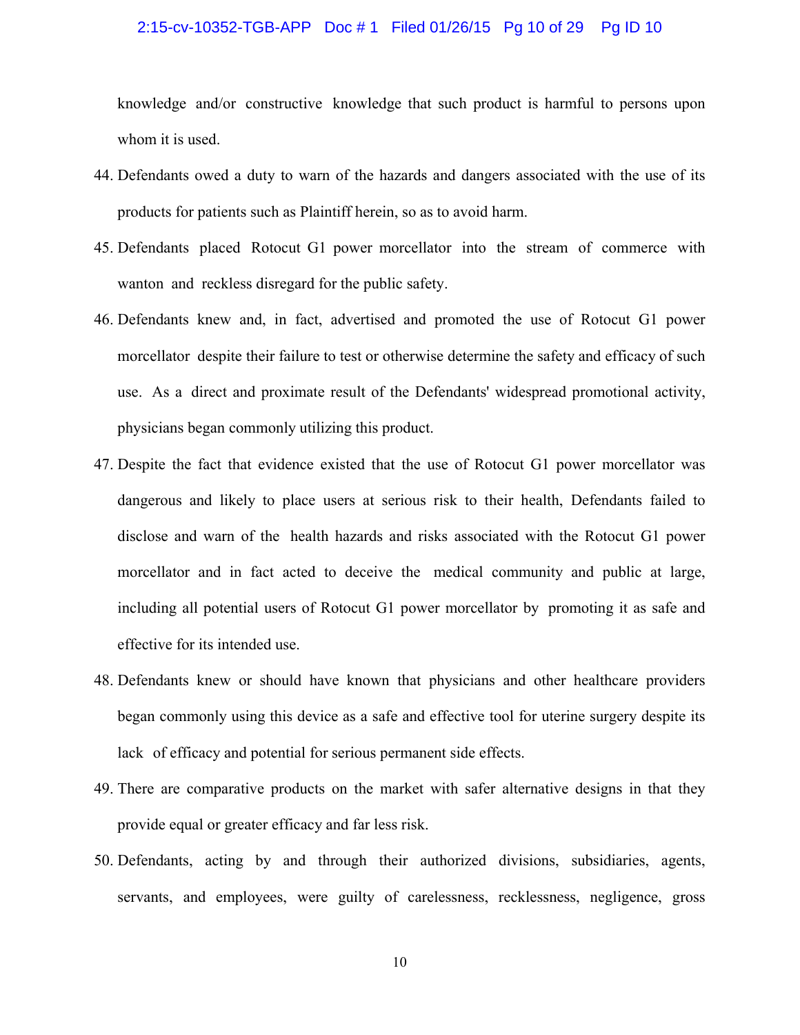#### 2:15-cv-10352-TGB-APP Doc # 1 Filed 01/26/15 Pg 10 of 29 Pg ID 10

knowledge and/or constructive knowledge that such product is harmful to persons upon whom it is used.

- 44. Defendants owed a duty to warn of the hazards and dangers associated with the use of its products for patients such as Plaintiff herein, so as to avoid harm.
- 45. Defendants placed Rotocut G1 power morcellator into the stream of commerce with wanton and reckless disregard for the public safety.
- 46. Defendants knew and, in fact, advertised and promoted the use of Rotocut G1 power morcellator despite their failure to test or otherwise determine the safety and efficacy of such use. As a direct and proximate result of the Defendants' widespread promotional activity, physicians began commonly utilizing this product.
- 47. Despite the fact that evidence existed that the use of Rotocut G1 power morcellator was dangerous and likely to place users at serious risk to their health, Defendants failed to disclose and warn of the health hazards and risks associated with the Rotocut G1 power morcellator and in fact acted to deceive the medical community and public at large, including all potential users of Rotocut G1 power morcellator by promoting it as safe and effective for its intended use.
- 48. Defendants knew or should have known that physicians and other healthcare providers began commonly using this device as a safe and effective tool for uterine surgery despite its lack of efficacy and potential for serious permanent side effects.
- 49. There are comparative products on the market with safer alternative designs in that they provide equal or greater efficacy and far less risk.
- 50. Defendants, acting by and through their authorized divisions, subsidiaries, agents, servants, and employees, were guilty of carelessness, recklessness, negligence, gross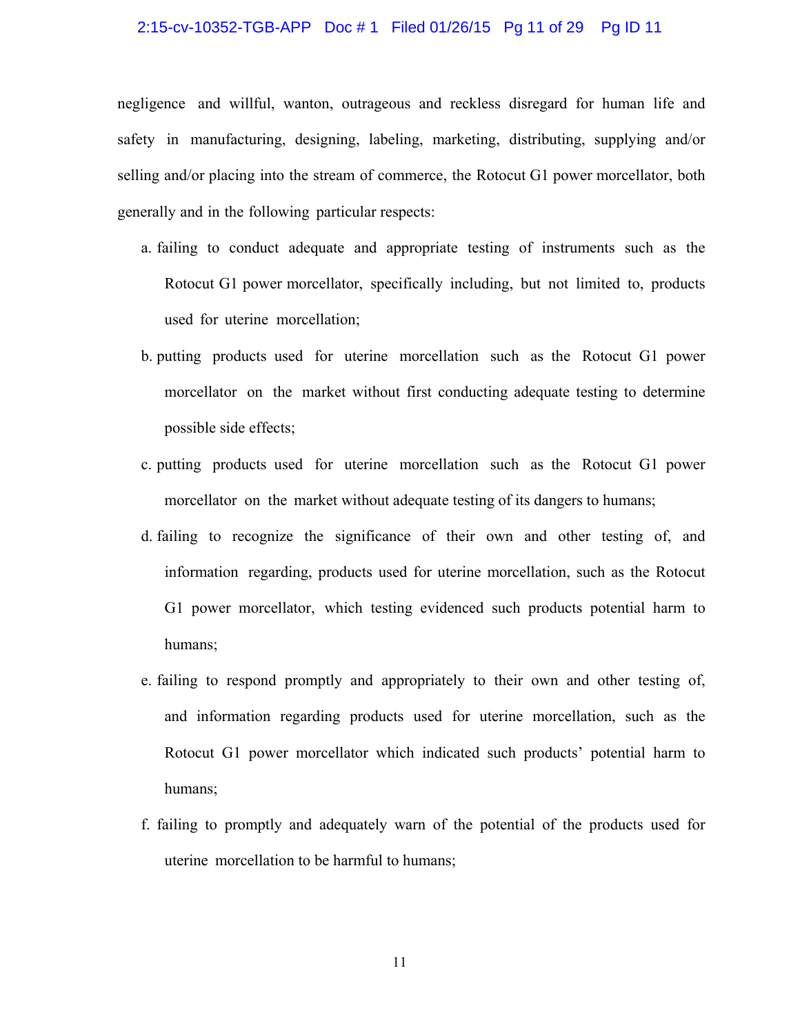# 2:15-cv-10352-TGB-APP Doc # 1 Filed 01/26/15 Pg 11 of 29 Pg ID 11

negligence and willful, wanton, outrageous and reckless disregard for human life and safety in manufacturing, designing, labeling, marketing, distributing, supplying and/or selling and/or placing into the stream of commerce, the Rotocut G1 power morcellator, both generally and in the following particular respects:

- a. failing to conduct adequate and appropriate testing of instruments such as the Rotocut G1 power morcellator, specifically including, but not limited to, products used for uterine morcellation;
- b. putting products used for uterine morcellation such as the Rotocut G1 power morcellator on the market without first conducting adequate testing to determine possible side effects;
- c. putting products used for uterine morcellation such as the Rotocut G1 power morcellator on the market without adequate testing of its dangers to humans;
- d. failing to recognize the significance of their own and other testing of, and information regarding, products used for uterine morcellation, such as the Rotocut G1 power morcellator, which testing evidenced such products potential harm to humans;
- e. failing to respond promptly and appropriately to their own and other testing of, and information regarding products used for uterine morcellation, such as the Rotocut G1 power morcellator which indicated such products' potential harm to humans;
- f. failing to promptly and adequately warn of the potential of the products used for uterine morcellation to be harmful to humans;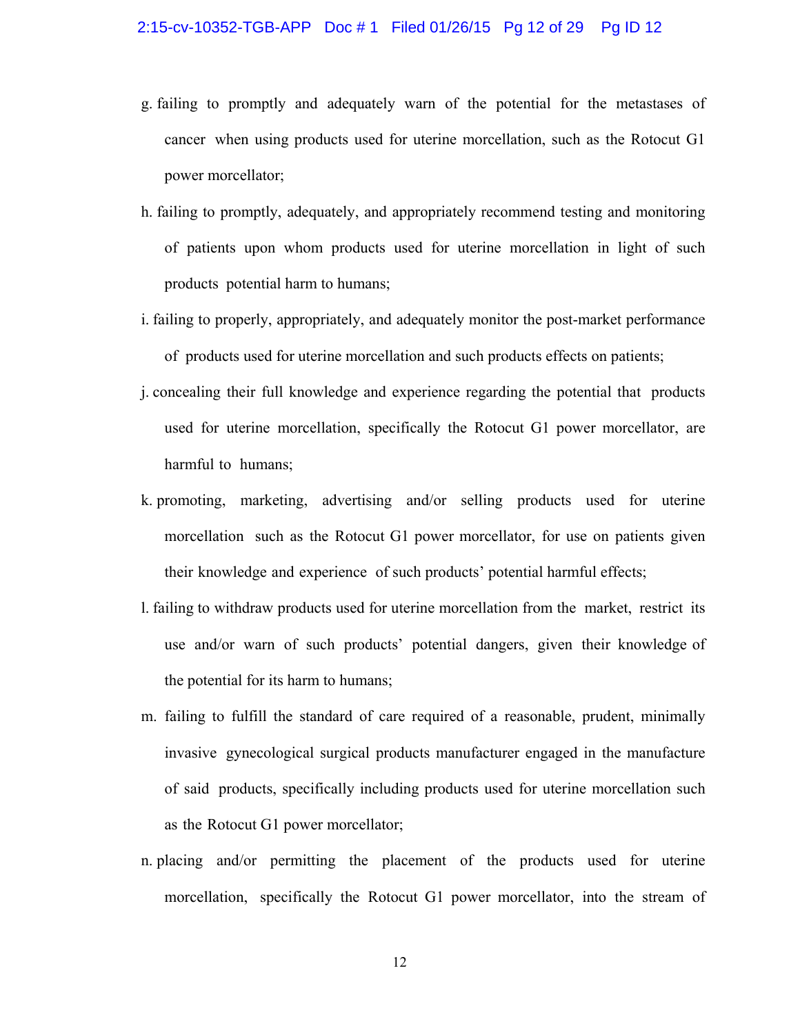# 2:15-cv-10352-TGB-APP Doc # 1 Filed 01/26/15 Pg 12 of 29 Pg ID 12

- g. failing to promptly and adequately warn of the potential for the metastases of cancer when using products used for uterine morcellation, such as the Rotocut G1 power morcellator;
- h. failing to promptly, adequately, and appropriately recommend testing and monitoring of patients upon whom products used for uterine morcellation in light of such products potential harm to humans;
- i. failing to properly, appropriately, and adequately monitor the post-market performance of products used for uterine morcellation and such products effects on patients;
- j. concealing their full knowledge and experience regarding the potential that products used for uterine morcellation, specifically the Rotocut G1 power morcellator, are harmful to humans;
- k. promoting, marketing, advertising and/or selling products used for uterine morcellation such as the Rotocut G1 power morcellator, for use on patients given their knowledge and experience of such products' potential harmful effects;
- l. failing to withdraw products used for uterine morcellation from the market, restrict its use and/or warn of such products' potential dangers, given their knowledge of the potential for its harm to humans;
- m. failing to fulfill the standard of care required of a reasonable, prudent, minimally invasive gynecological surgical products manufacturer engaged in the manufacture of said products, specifically including products used for uterine morcellation such as the Rotocut G1 power morcellator;
- n. placing and/or permitting the placement of the products used for uterine morcellation, specifically the Rotocut G1 power morcellator, into the stream of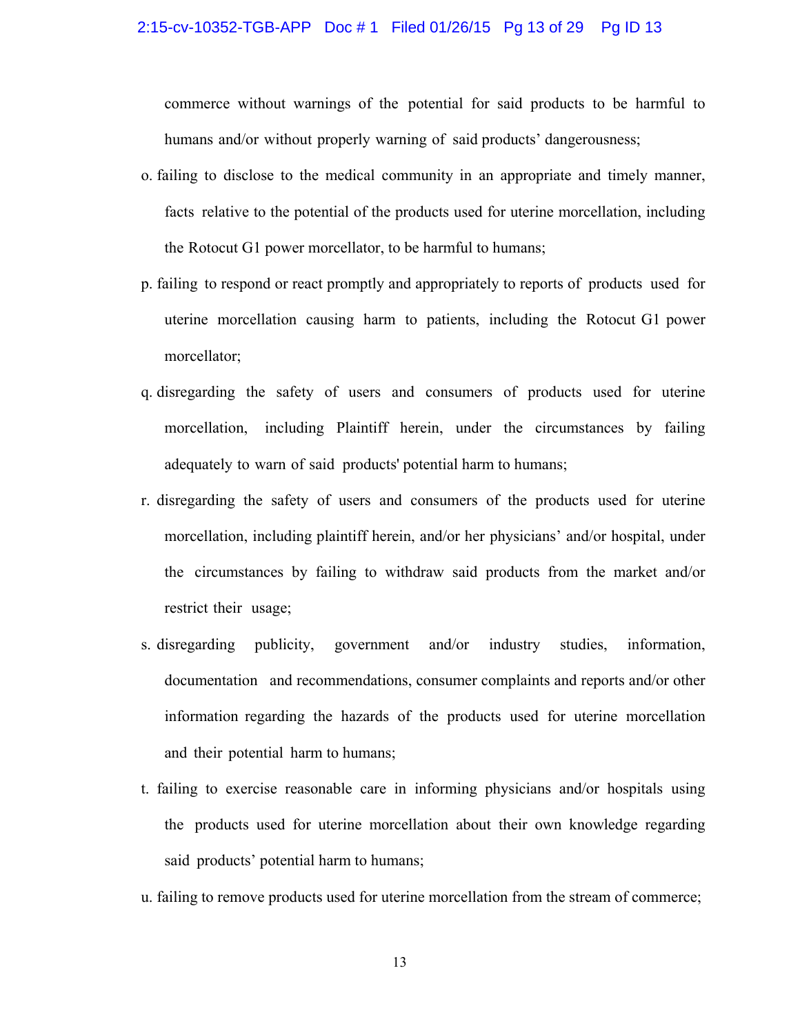# 2:15-cv-10352-TGB-APP Doc # 1 Filed 01/26/15 Pg 13 of 29 Pg ID 13

commerce without warnings of the potential for said products to be harmful to humans and/or without properly warning of said products' dangerousness;

- o. failing to disclose to the medical community in an appropriate and timely manner, facts relative to the potential of the products used for uterine morcellation, including the Rotocut G1 power morcellator, to be harmful to humans;
- p. failing to respond or react promptly and appropriately to reports of products used for uterine morcellation causing harm to patients, including the Rotocut G1 power morcellator;
- q. disregarding the safety of users and consumers of products used for uterine morcellation, including Plaintiff herein, under the circumstances by failing adequately to warn of said products' potential harm to humans;
- r. disregarding the safety of users and consumers of the products used for uterine morcellation, including plaintiff herein, and/or her physicians' and/or hospital, under the circumstances by failing to withdraw said products from the market and/or restrict their usage;
- s. disregarding publicity, government and/or industry studies, information, documentation and recommendations, consumer complaints and reports and/or other information regarding the hazards of the products used for uterine morcellation and their potential harm to humans;
- t. failing to exercise reasonable care in informing physicians and/or hospitals using the products used for uterine morcellation about their own knowledge regarding said products' potential harm to humans;
- u. failing to remove products used for uterine morcellation from the stream of commerce;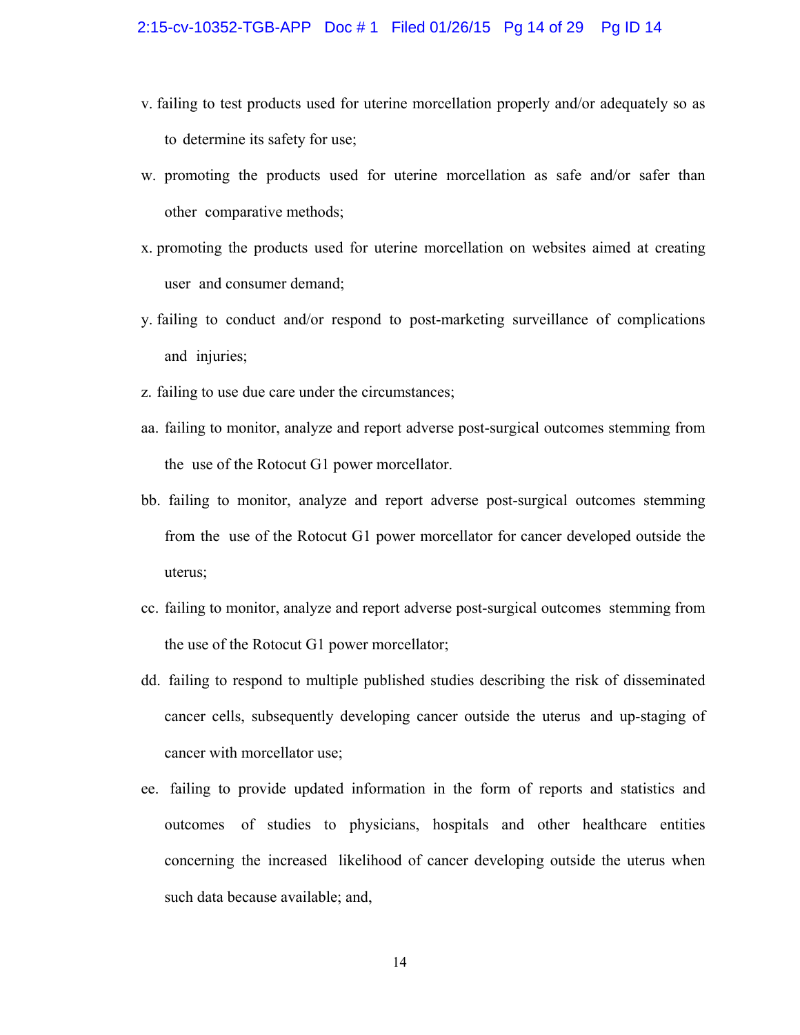- v. failing to test products used for uterine morcellation properly and/or adequately so as to determine its safety for use;
- w. promoting the products used for uterine morcellation as safe and/or safer than other comparative methods;
- x. promoting the products used for uterine morcellation on websites aimed at creating user and consumer demand;
- y. failing to conduct and/or respond to post-marketing surveillance of complications and injuries;
- z. failing to use due care under the circumstances;
- aa. failing to monitor, analyze and report adverse post-surgical outcomes stemming from the use of the Rotocut G1 power morcellator.
- bb. failing to monitor, analyze and report adverse post-surgical outcomes stemming from the use of the Rotocut G1 power morcellator for cancer developed outside the uterus;
- cc. failing to monitor, analyze and report adverse post-surgical outcomes stemming from the use of the Rotocut G1 power morcellator;
- dd. failing to respond to multiple published studies describing the risk of disseminated cancer cells, subsequently developing cancer outside the uterus and up-staging of cancer with morcellator use;
- ee. failing to provide updated information in the form of reports and statistics and outcomes of studies to physicians, hospitals and other healthcare entities concerning the increased likelihood of cancer developing outside the uterus when such data because available; and,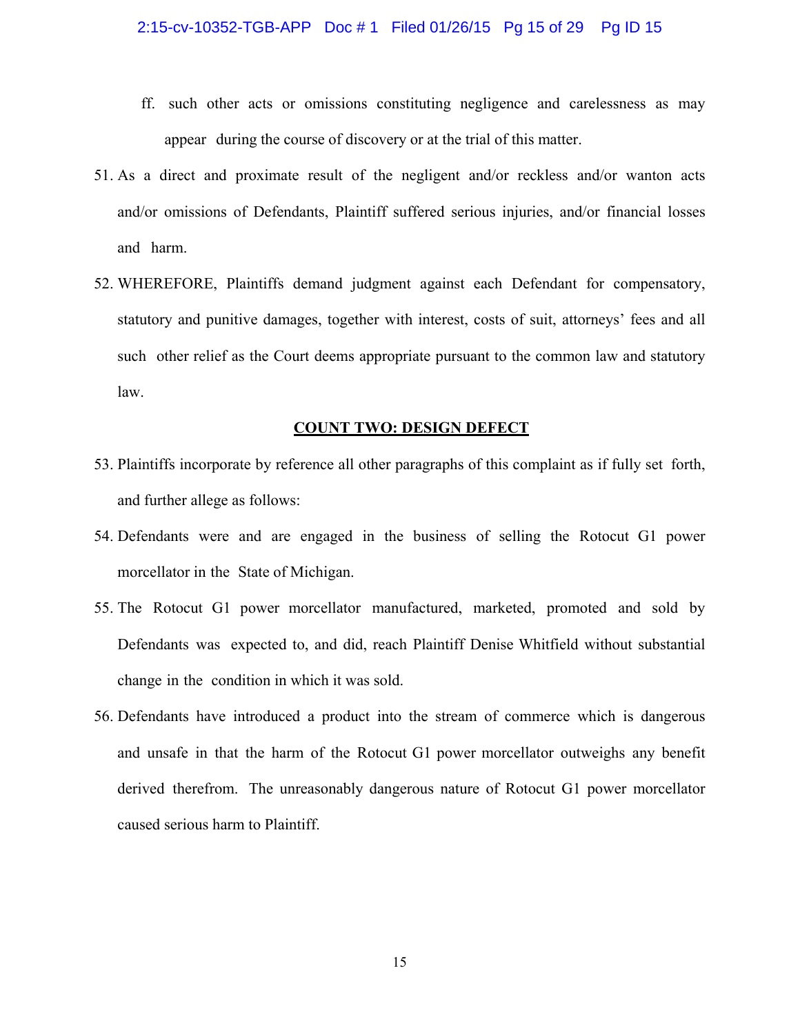- ff. such other acts or omissions constituting negligence and carelessness as may appear during the course of discovery or at the trial of this matter.
- 51. As a direct and proximate result of the negligent and/or reckless and/or wanton acts and/or omissions of Defendants, Plaintiff suffered serious injuries, and/or financial losses and harm.
- 52. WHEREFORE, Plaintiffs demand judgment against each Defendant for compensatory, statutory and punitive damages, together with interest, costs of suit, attorneys' fees and all such other relief as the Court deems appropriate pursuant to the common law and statutory law.

#### **COUNT TWO: DESIGN DEFECT**

- 53. Plaintiffs incorporate by reference all other paragraphs of this complaint as if fully set forth, and further allege as follows:
- 54. Defendants were and are engaged in the business of selling the Rotocut G1 power morcellator in the State of Michigan.
- 55. The Rotocut G1 power morcellator manufactured, marketed, promoted and sold by Defendants was expected to, and did, reach Plaintiff Denise Whitfield without substantial change in the condition in which it was sold.
- 56. Defendants have introduced a product into the stream of commerce which is dangerous and unsafe in that the harm of the Rotocut G1 power morcellator outweighs any benefit derived therefrom. The unreasonably dangerous nature of Rotocut G1 power morcellator caused serious harm to Plaintiff.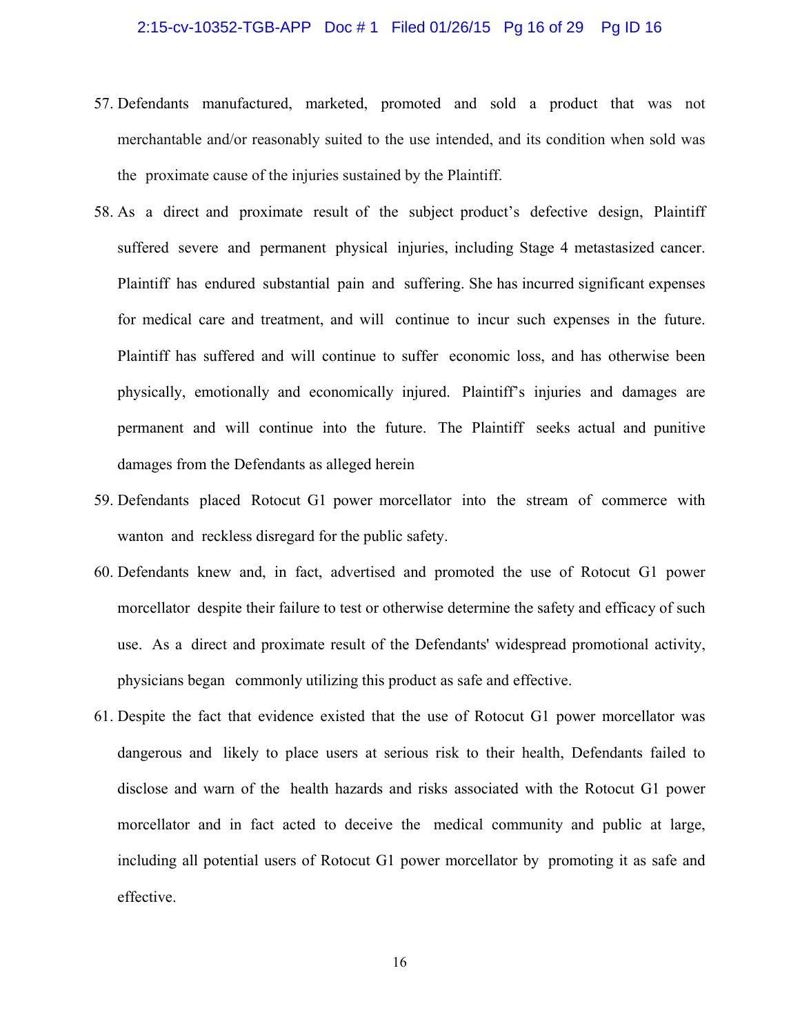# 2:15-cv-10352-TGB-APP Doc # 1 Filed 01/26/15 Pg 16 of 29 Pg ID 16

- 57. Defendants manufactured, marketed, promoted and sold a product that was not merchantable and/or reasonably suited to the use intended, and its condition when sold was the proximate cause of the injuries sustained by the Plaintiff.
- 58. As a direct and proximate result of the subject product's defective design, Plaintiff suffered severe and permanent physical injuries, including Stage 4 metastasized cancer. Plaintiff has endured substantial pain and suffering. She has incurred significant expenses for medical care and treatment, and will continue to incur such expenses in the future. Plaintiff has suffered and will continue to suffer economic loss, and has otherwise been physically, emotionally and economically injured. Plaintiff's injuries and damages are permanent and will continue into the future. The Plaintiff seeks actual and punitive damages from the Defendants as alleged herein
- 59. Defendants placed Rotocut G1 power morcellator into the stream of commerce with wanton and reckless disregard for the public safety.
- 60. Defendants knew and, in fact, advertised and promoted the use of Rotocut G1 power morcellator despite their failure to test or otherwise determine the safety and efficacy of such use. As a direct and proximate result of the Defendants' widespread promotional activity, physicians began commonly utilizing this product as safe and effective.
- 61. Despite the fact that evidence existed that the use of Rotocut G1 power morcellator was dangerous and likely to place users at serious risk to their health, Defendants failed to disclose and warn of the health hazards and risks associated with the Rotocut G1 power morcellator and in fact acted to deceive the medical community and public at large, including all potential users of Rotocut G1 power morcellator by promoting it as safe and effective.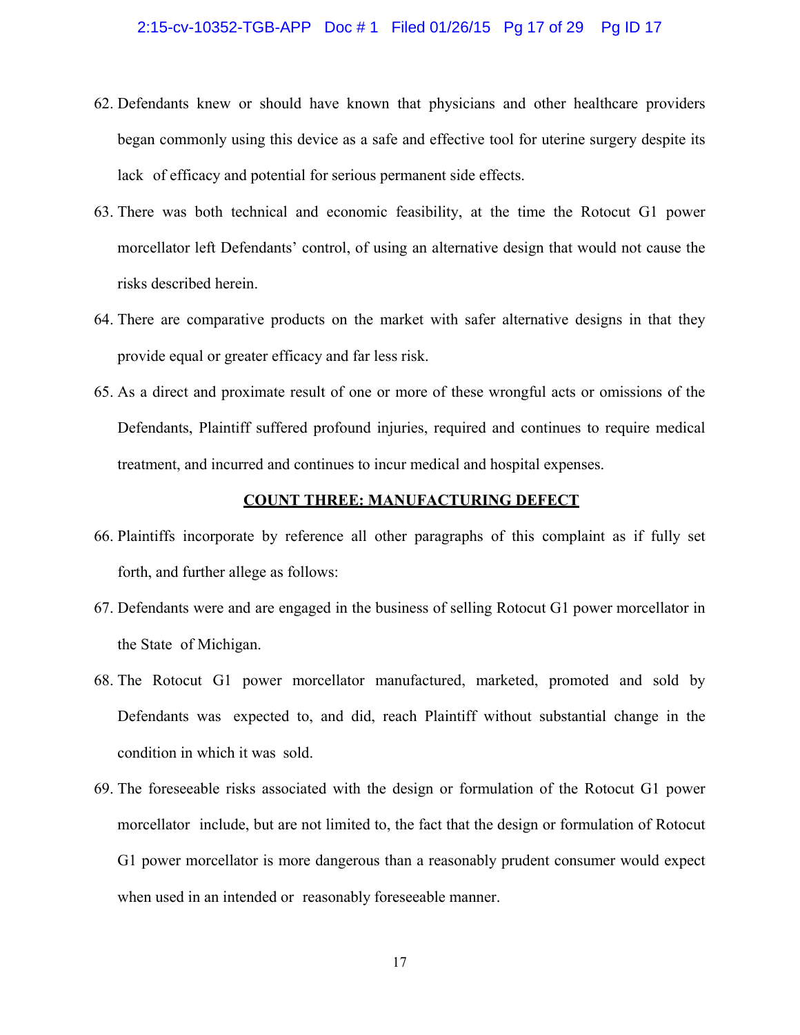#### 2:15-cv-10352-TGB-APP Doc # 1 Filed 01/26/15 Pg 17 of 29 Pg ID 17

- 62. Defendants knew or should have known that physicians and other healthcare providers began commonly using this device as a safe and effective tool for uterine surgery despite its lack of efficacy and potential for serious permanent side effects.
- 63. There was both technical and economic feasibility, at the time the Rotocut G1 power morcellator left Defendants' control, of using an alternative design that would not cause the risks described herein.
- 64. There are comparative products on the market with safer alternative designs in that they provide equal or greater efficacy and far less risk.
- 65. As a direct and proximate result of one or more of these wrongful acts or omissions of the Defendants, Plaintiff suffered profound injuries, required and continues to require medical treatment, and incurred and continues to incur medical and hospital expenses.

#### **COUNT THREE: MANUFACTURING DEFECT**

- 66. Plaintiffs incorporate by reference all other paragraphs of this complaint as if fully set forth, and further allege as follows:
- 67. Defendants were and are engaged in the business of selling Rotocut G1 power morcellator in the State of Michigan.
- 68. The Rotocut G1 power morcellator manufactured, marketed, promoted and sold by Defendants was expected to, and did, reach Plaintiff without substantial change in the condition in which it was sold.
- 69. The foreseeable risks associated with the design or formulation of the Rotocut G1 power morcellator include, but are not limited to, the fact that the design or formulation of Rotocut G1 power morcellator is more dangerous than a reasonably prudent consumer would expect when used in an intended or reasonably foreseeable manner.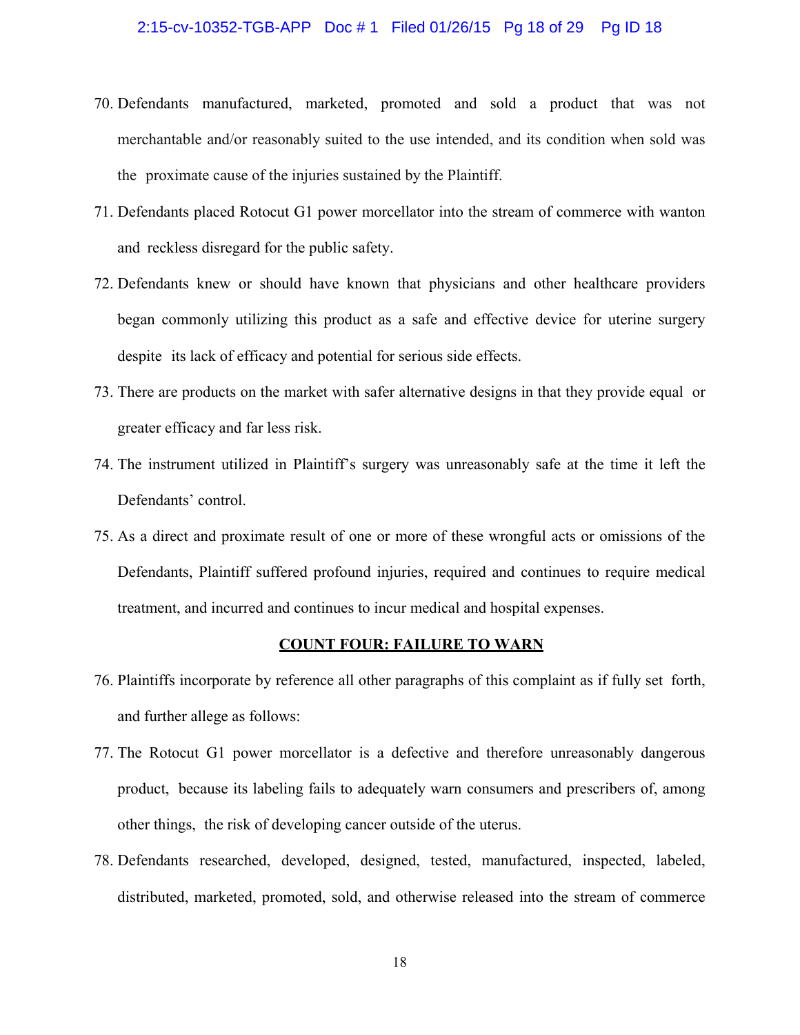# 2:15-cv-10352-TGB-APP Doc # 1 Filed 01/26/15 Pg 18 of 29 Pg ID 18

- 70. Defendants manufactured, marketed, promoted and sold a product that was not merchantable and/or reasonably suited to the use intended, and its condition when sold was the proximate cause of the injuries sustained by the Plaintiff.
- 71. Defendants placed Rotocut G1 power morcellator into the stream of commerce with wanton and reckless disregard for the public safety.
- 72. Defendants knew or should have known that physicians and other healthcare providers began commonly utilizing this product as a safe and effective device for uterine surgery despite its lack of efficacy and potential for serious side effects.
- 73. There are products on the market with safer alternative designs in that they provide equal or greater efficacy and far less risk.
- 74. The instrument utilized in Plaintiff's surgery was unreasonably safe at the time it left the Defendants' control.
- 75. As a direct and proximate result of one or more of these wrongful acts or omissions of the Defendants, Plaintiff suffered profound injuries, required and continues to require medical treatment, and incurred and continues to incur medical and hospital expenses.

#### **COUNT FOUR: FAILURE TO WARN**

- 76. Plaintiffs incorporate by reference all other paragraphs of this complaint as if fully set forth, and further allege as follows:
- 77. The Rotocut G1 power morcellator is a defective and therefore unreasonably dangerous product, because its labeling fails to adequately warn consumers and prescribers of, among other things, the risk of developing cancer outside of the uterus.
- 78. Defendants researched, developed, designed, tested, manufactured, inspected, labeled, distributed, marketed, promoted, sold, and otherwise released into the stream of commerce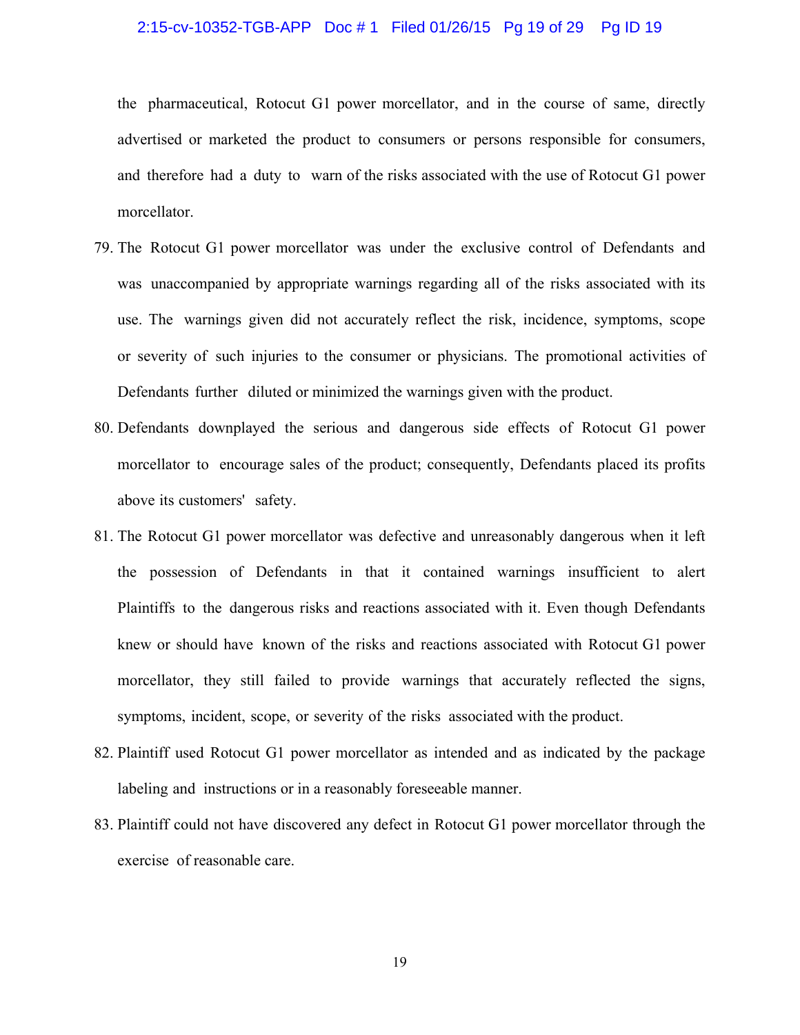# 2:15-cv-10352-TGB-APP Doc # 1 Filed 01/26/15 Pg 19 of 29 Pg ID 19

the pharmaceutical, Rotocut G1 power morcellator, and in the course of same, directly advertised or marketed the product to consumers or persons responsible for consumers, and therefore had a duty to warn of the risks associated with the use of Rotocut G1 power morcellator.

- 79. The Rotocut G1 power morcellator was under the exclusive control of Defendants and was unaccompanied by appropriate warnings regarding all of the risks associated with its use. The warnings given did not accurately reflect the risk, incidence, symptoms, scope or severity of such injuries to the consumer or physicians. The promotional activities of Defendants further diluted or minimized the warnings given with the product.
- 80. Defendants downplayed the serious and dangerous side effects of Rotocut G1 power morcellator to encourage sales of the product; consequently, Defendants placed its profits above its customers' safety.
- 81. The Rotocut G1 power morcellator was defective and unreasonably dangerous when it left the possession of Defendants in that it contained warnings insufficient to alert Plaintiffs to the dangerous risks and reactions associated with it. Even though Defendants knew or should have known of the risks and reactions associated with Rotocut G1 power morcellator, they still failed to provide warnings that accurately reflected the signs, symptoms, incident, scope, or severity of the risks associated with the product.
- 82. Plaintiff used Rotocut G1 power morcellator as intended and as indicated by the package labeling and instructions or in a reasonably foreseeable manner.
- 83. Plaintiff could not have discovered any defect in Rotocut G1 power morcellator through the exercise of reasonable care.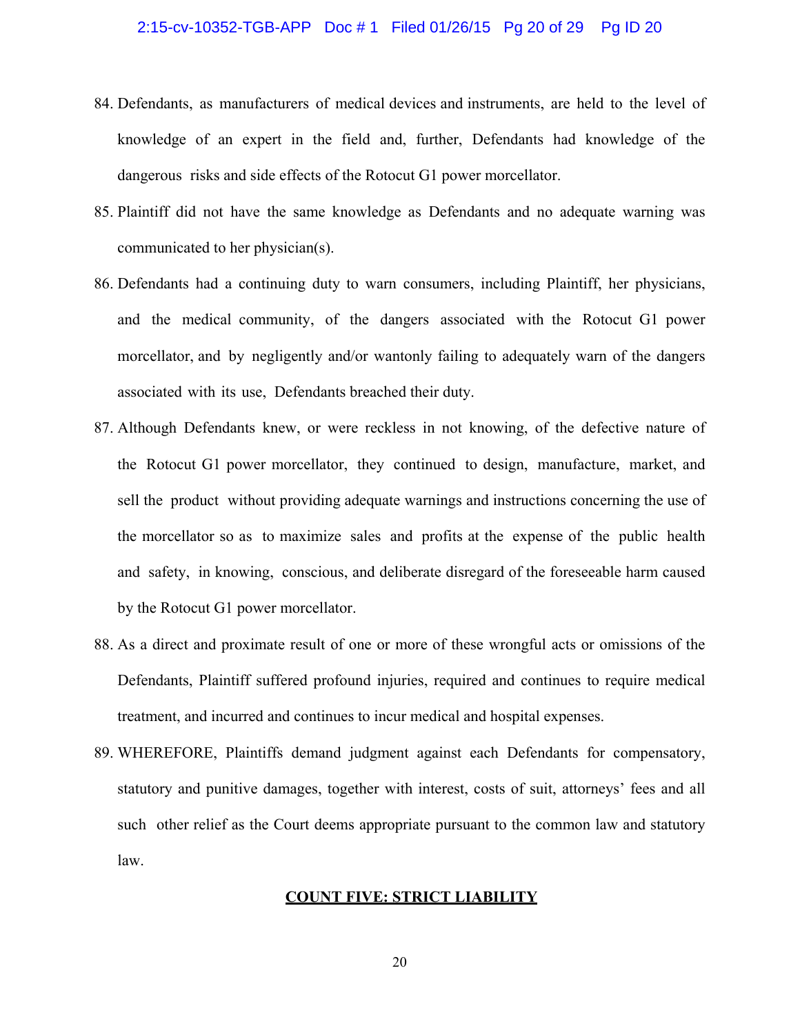# 2:15-cv-10352-TGB-APP Doc # 1 Filed 01/26/15 Pg 20 of 29 Pg ID 20

- 84. Defendants, as manufacturers of medical devices and instruments, are held to the level of knowledge of an expert in the field and, further, Defendants had knowledge of the dangerous risks and side effects of the Rotocut G1 power morcellator.
- 85. Plaintiff did not have the same knowledge as Defendants and no adequate warning was communicated to her physician(s).
- 86. Defendants had a continuing duty to warn consumers, including Plaintiff, her physicians, and the medical community, of the dangers associated with the Rotocut G1 power morcellator, and by negligently and/or wantonly failing to adequately warn of the dangers associated with its use, Defendants breached their duty.
- 87. Although Defendants knew, or were reckless in not knowing, of the defective nature of the Rotocut G1 power morcellator, they continued to design, manufacture, market, and sell the product without providing adequate warnings and instructions concerning the use of the morcellator so as to maximize sales and profits at the expense of the public health and safety, in knowing, conscious, and deliberate disregard of the foreseeable harm caused by the Rotocut G1 power morcellator.
- 88. As a direct and proximate result of one or more of these wrongful acts or omissions of the Defendants, Plaintiff suffered profound injuries, required and continues to require medical treatment, and incurred and continues to incur medical and hospital expenses.
- 89. WHEREFORE, Plaintiffs demand judgment against each Defendants for compensatory, statutory and punitive damages, together with interest, costs of suit, attorneys' fees and all such other relief as the Court deems appropriate pursuant to the common law and statutory law.

#### **COUNT FIVE: STRICT LIABILITY**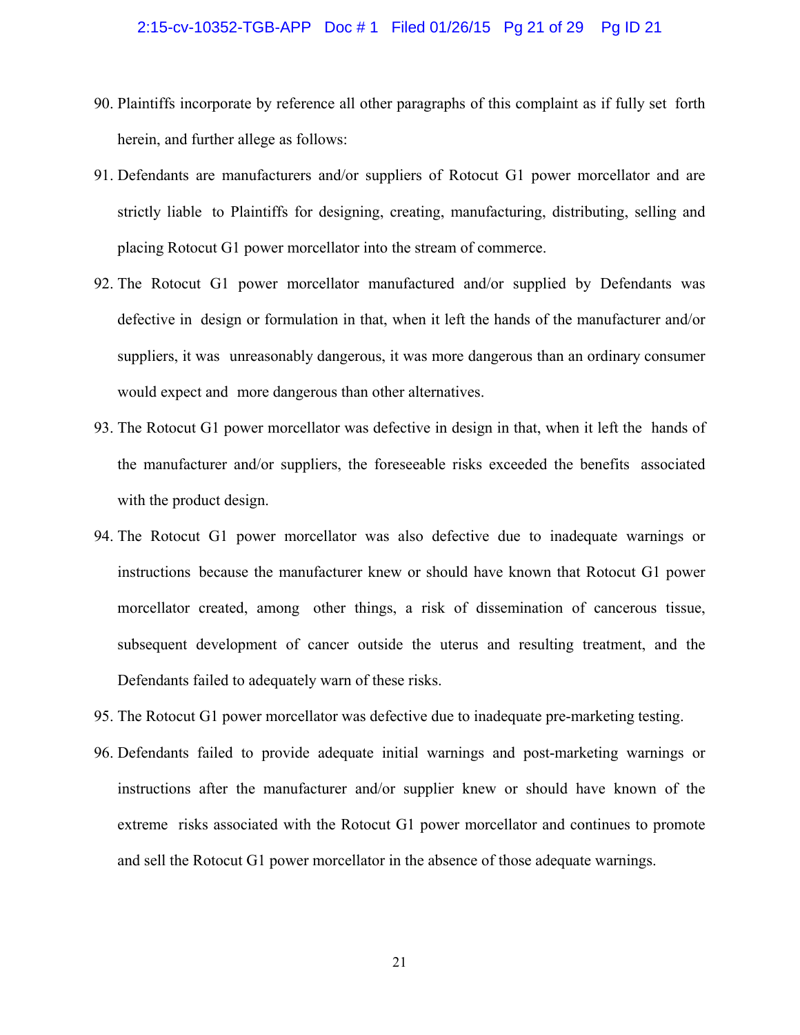- 90. Plaintiffs incorporate by reference all other paragraphs of this complaint as if fully set forth herein, and further allege as follows:
- 91. Defendants are manufacturers and/or suppliers of Rotocut G1 power morcellator and are strictly liable to Plaintiffs for designing, creating, manufacturing, distributing, selling and placing Rotocut G1 power morcellator into the stream of commerce.
- 92. The Rotocut G1 power morcellator manufactured and/or supplied by Defendants was defective in design or formulation in that, when it left the hands of the manufacturer and/or suppliers, it was unreasonably dangerous, it was more dangerous than an ordinary consumer would expect and more dangerous than other alternatives.
- 93. The Rotocut G1 power morcellator was defective in design in that, when it left the hands of the manufacturer and/or suppliers, the foreseeable risks exceeded the benefits associated with the product design.
- 94. The Rotocut G1 power morcellator was also defective due to inadequate warnings or instructions because the manufacturer knew or should have known that Rotocut G1 power morcellator created, among other things, a risk of dissemination of cancerous tissue, subsequent development of cancer outside the uterus and resulting treatment, and the Defendants failed to adequately warn of these risks.
- 95. The Rotocut G1 power morcellator was defective due to inadequate pre-marketing testing.
- 96. Defendants failed to provide adequate initial warnings and post-marketing warnings or instructions after the manufacturer and/or supplier knew or should have known of the extreme risks associated with the Rotocut G1 power morcellator and continues to promote and sell the Rotocut G1 power morcellator in the absence of those adequate warnings.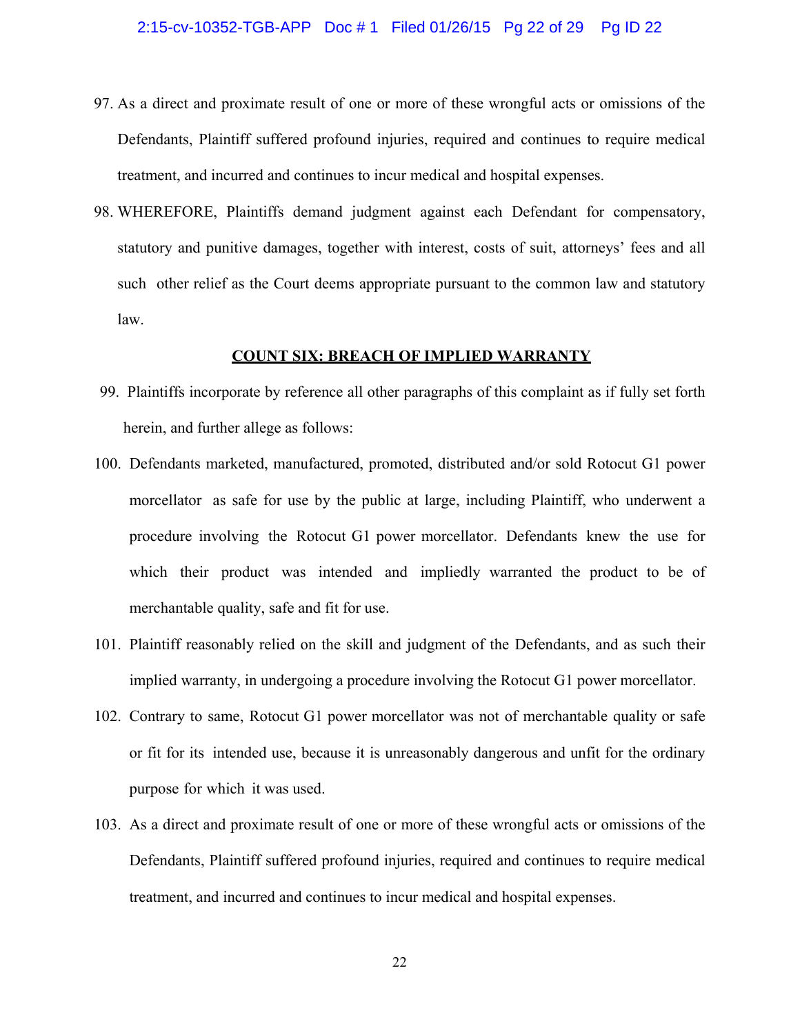# 2:15-cv-10352-TGB-APP Doc # 1 Filed 01/26/15 Pg 22 of 29 Pg ID 22

- 97. As a direct and proximate result of one or more of these wrongful acts or omissions of the Defendants, Plaintiff suffered profound injuries, required and continues to require medical treatment, and incurred and continues to incur medical and hospital expenses.
- 98. WHEREFORE, Plaintiffs demand judgment against each Defendant for compensatory, statutory and punitive damages, together with interest, costs of suit, attorneys' fees and all such other relief as the Court deems appropriate pursuant to the common law and statutory law.

# **COUNT SIX: BREACH OF IMPLIED WARRANTY**

- 99. Plaintiffs incorporate by reference all other paragraphs of this complaint as if fully set forth herein, and further allege as follows:
- 100. Defendants marketed, manufactured, promoted, distributed and/or sold Rotocut G1 power morcellator as safe for use by the public at large, including Plaintiff, who underwent a procedure involving the Rotocut G1 power morcellator. Defendants knew the use for which their product was intended and impliedly warranted the product to be of merchantable quality, safe and fit for use.
- 101. Plaintiff reasonably relied on the skill and judgment of the Defendants, and as such their implied warranty, in undergoing a procedure involving the Rotocut G1 power morcellator.
- 102. Contrary to same, Rotocut G1 power morcellator was not of merchantable quality or safe or fit for its intended use, because it is unreasonably dangerous and unfit for the ordinary purpose for which it was used.
- 103. As a direct and proximate result of one or more of these wrongful acts or omissions of the Defendants, Plaintiff suffered profound injuries, required and continues to require medical treatment, and incurred and continues to incur medical and hospital expenses.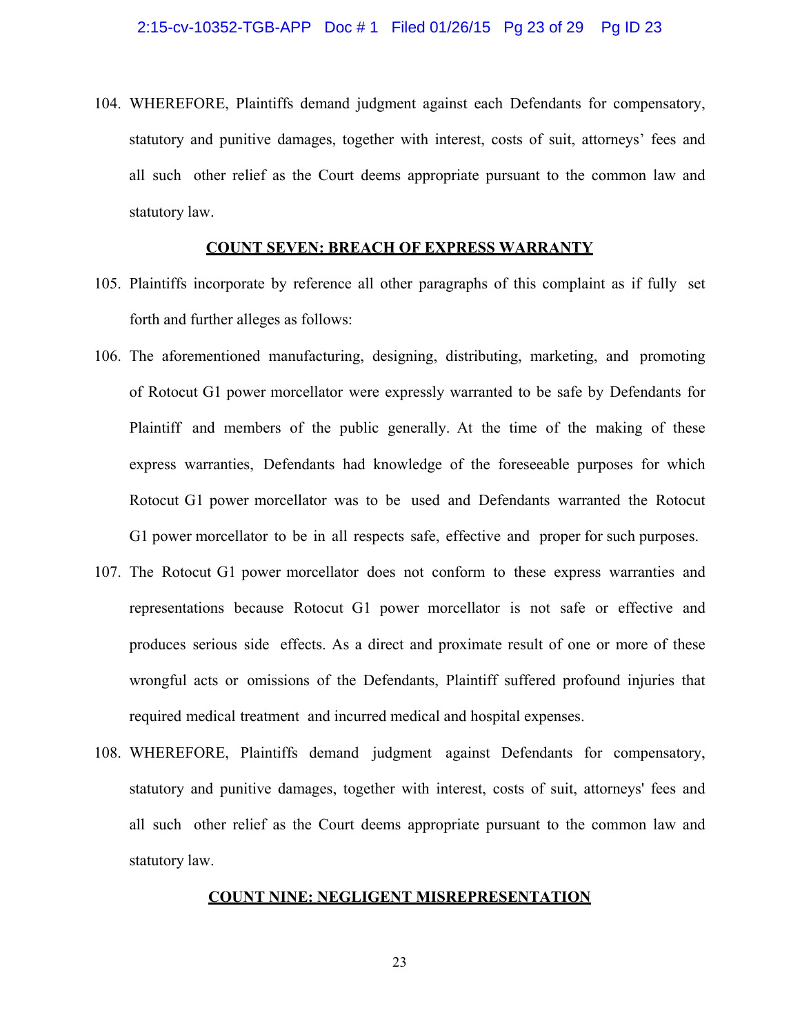104. WHEREFORE, Plaintiffs demand judgment against each Defendants for compensatory, statutory and punitive damages, together with interest, costs of suit, attorneys' fees and all such other relief as the Court deems appropriate pursuant to the common law and statutory law.

#### **COUNT SEVEN: BREACH OF EXPRESS WARRANTY**

- 105. Plaintiffs incorporate by reference all other paragraphs of this complaint as if fully set forth and further alleges as follows:
- 106. The aforementioned manufacturing, designing, distributing, marketing, and promoting of Rotocut G1 power morcellator were expressly warranted to be safe by Defendants for Plaintiff and members of the public generally. At the time of the making of these express warranties, Defendants had knowledge of the foreseeable purposes for which Rotocut G1 power morcellator was to be used and Defendants warranted the Rotocut G1 power morcellator to be in all respects safe, effective and proper for such purposes.
- 107. The Rotocut G1 power morcellator does not conform to these express warranties and representations because Rotocut G1 power morcellator is not safe or effective and produces serious side effects. As a direct and proximate result of one or more of these wrongful acts or omissions of the Defendants, Plaintiff suffered profound injuries that required medical treatment and incurred medical and hospital expenses.
- 108. WHEREFORE, Plaintiffs demand judgment against Defendants for compensatory, statutory and punitive damages, together with interest, costs of suit, attorneys' fees and all such other relief as the Court deems appropriate pursuant to the common law and statutory law.

#### **COUNT NINE: NEGLIGENT MISREPRESENTATION**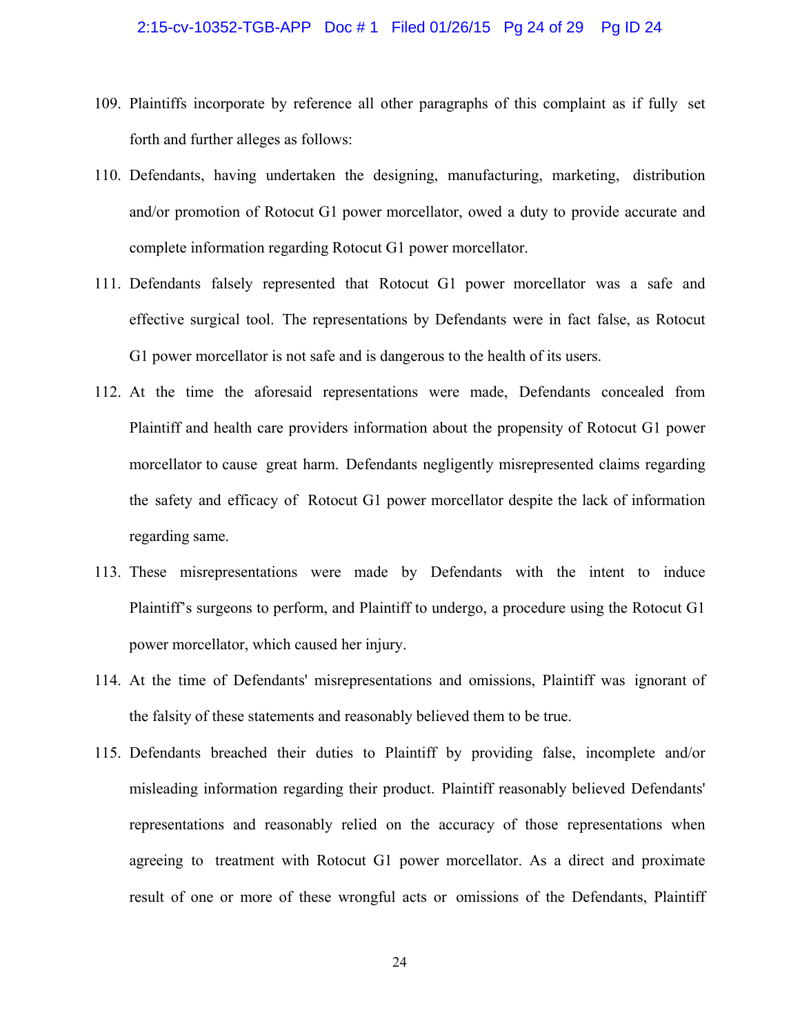- 109. Plaintiffs incorporate by reference all other paragraphs of this complaint as if fully set forth and further alleges as follows:
- 110. Defendants, having undertaken the designing, manufacturing, marketing, distribution and/or promotion of Rotocut G1 power morcellator, owed a duty to provide accurate and complete information regarding Rotocut G1 power morcellator.
- 111. Defendants falsely represented that Rotocut G1 power morcellator was a safe and effective surgical tool. The representations by Defendants were in fact false, as Rotocut G1 power morcellator is not safe and is dangerous to the health of its users.
- 112. At the time the aforesaid representations were made, Defendants concealed from Plaintiff and health care providers information about the propensity of Rotocut G1 power morcellator to cause great harm. Defendants negligently misrepresented claims regarding the safety and efficacy of Rotocut G1 power morcellator despite the lack of information regarding same.
- 113. These misrepresentations were made by Defendants with the intent to induce Plaintiff's surgeons to perform, and Plaintiff to undergo, a procedure using the Rotocut G1 power morcellator, which caused her injury.
- 114. At the time of Defendants' misrepresentations and omissions, Plaintiff was ignorant of the falsity of these statements and reasonably believed them to be true.
- 115. Defendants breached their duties to Plaintiff by providing false, incomplete and/or misleading information regarding their product. Plaintiff reasonably believed Defendants' representations and reasonably relied on the accuracy of those representations when agreeing to treatment with Rotocut G1 power morcellator. As a direct and proximate result of one or more of these wrongful acts or omissions of the Defendants, Plaintiff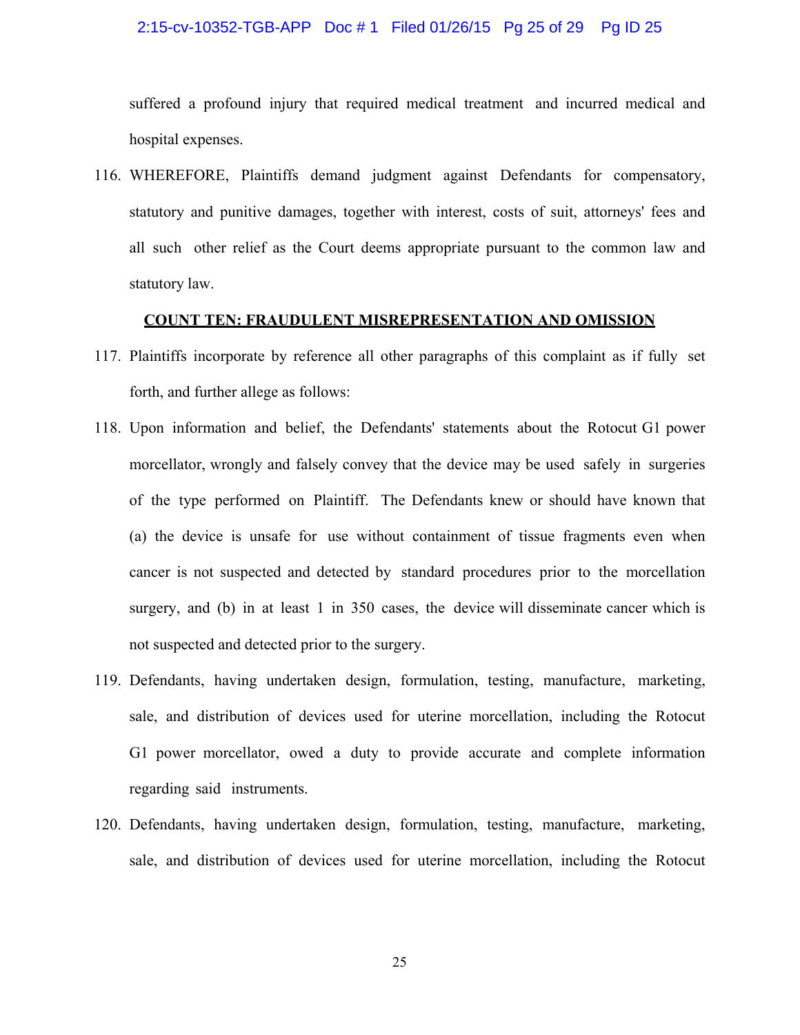# 2:15-cv-10352-TGB-APP Doc # 1 Filed 01/26/15 Pg 25 of 29 Pg ID 25

suffered a profound injury that required medical treatment and incurred medical and hospital expenses.

116. WHEREFORE, Plaintiffs demand judgment against Defendants for compensatory, statutory and punitive damages, together with interest, costs of suit, attorneys' fees and all such other relief as the Court deems appropriate pursuant to the common law and statutory law.

#### **COUNT TEN: FRAUDULENT MISREPRESENTATION AND OMISSION**

- 117. Plaintiffs incorporate by reference all other paragraphs of this complaint as if fully set forth, and further allege as follows:
- 118. Upon information and belief, the Defendants' statements about the Rotocut G1 power morcellator, wrongly and falsely convey that the device may be used safely in surgeries of the type performed on Plaintiff. The Defendants knew or should have known that (a) the device is unsafe for use without containment of tissue fragments even when cancer is not suspected and detected by standard procedures prior to the morcellation surgery, and (b) in at least 1 in 350 cases, the device will disseminate cancer which is not suspected and detected prior to the surgery.
- 119. Defendants, having undertaken design, formulation, testing, manufacture, marketing, sale, and distribution of devices used for uterine morcellation, including the Rotocut G1 power morcellator, owed a duty to provide accurate and complete information regarding said instruments.
- 120. Defendants, having undertaken design, formulation, testing, manufacture, marketing, sale, and distribution of devices used for uterine morcellation, including the Rotocut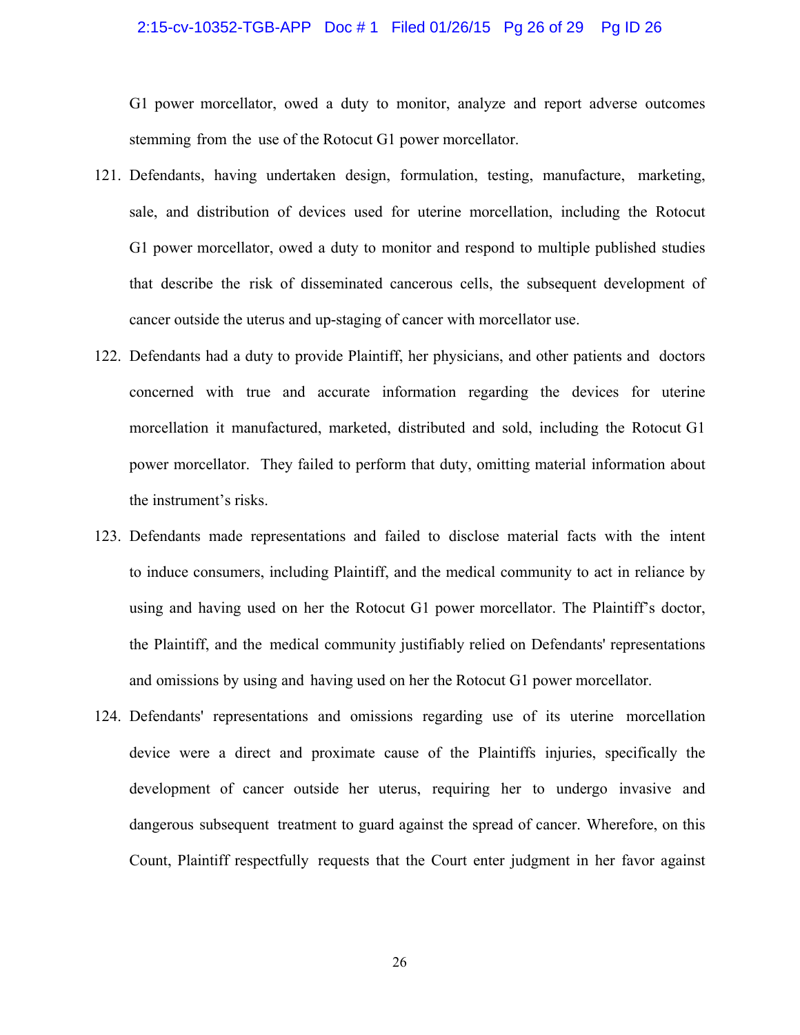# 2:15-cv-10352-TGB-APP Doc # 1 Filed 01/26/15 Pg 26 of 29 Pg ID 26

G1 power morcellator, owed a duty to monitor, analyze and report adverse outcomes stemming from the use of the Rotocut G1 power morcellator.

- 121. Defendants, having undertaken design, formulation, testing, manufacture, marketing, sale, and distribution of devices used for uterine morcellation, including the Rotocut G1 power morcellator, owed a duty to monitor and respond to multiple published studies that describe the risk of disseminated cancerous cells, the subsequent development of cancer outside the uterus and up-staging of cancer with morcellator use.
- 122. Defendants had a duty to provide Plaintiff, her physicians, and other patients and doctors concerned with true and accurate information regarding the devices for uterine morcellation it manufactured, marketed, distributed and sold, including the Rotocut G1 power morcellator. They failed to perform that duty, omitting material information about the instrument's risks.
- 123. Defendants made representations and failed to disclose material facts with the intent to induce consumers, including Plaintiff, and the medical community to act in reliance by using and having used on her the Rotocut G1 power morcellator. The Plaintiff's doctor, the Plaintiff, and the medical community justifiably relied on Defendants' representations and omissions by using and having used on her the Rotocut G1 power morcellator.
- 124. Defendants' representations and omissions regarding use of its uterine morcellation device were a direct and proximate cause of the Plaintiffs injuries, specifically the development of cancer outside her uterus, requiring her to undergo invasive and dangerous subsequent treatment to guard against the spread of cancer. Wherefore, on this Count, Plaintiff respectfully requests that the Court enter judgment in her favor against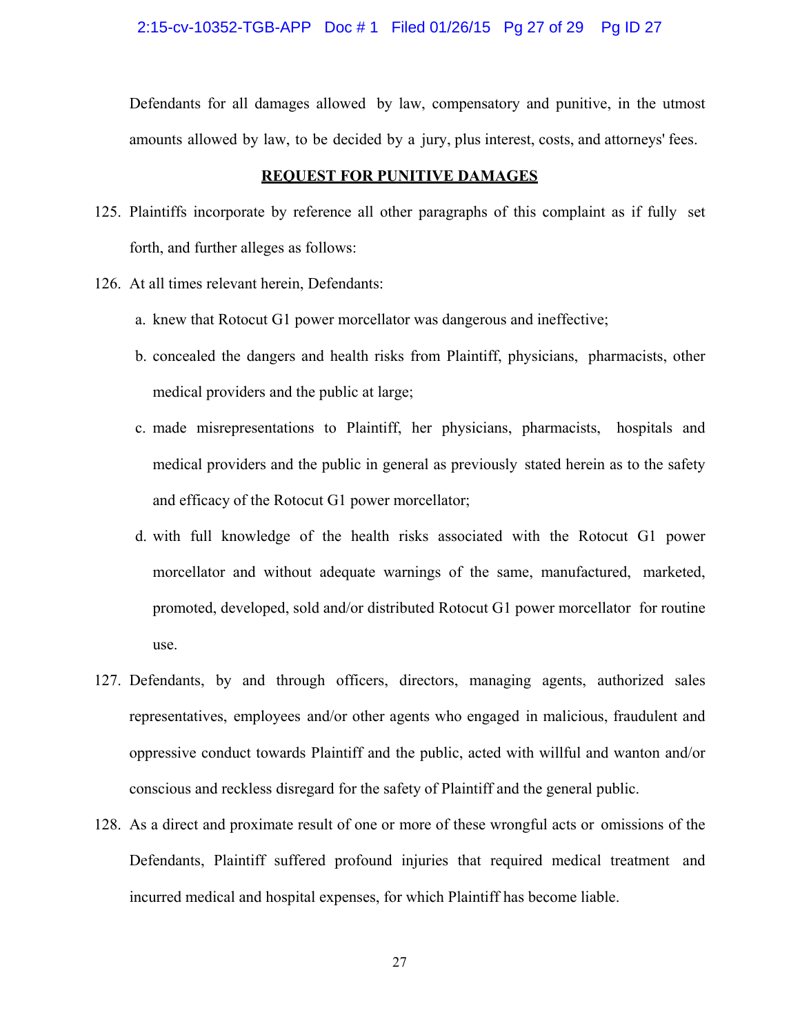2:15-cv-10352-TGB-APP Doc # 1 Filed 01/26/15 Pg 27 of 29 Pg ID 27

Defendants for all damages allowed by law, compensatory and punitive, in the utmost amounts allowed by law, to be decided by a jury, plus interest, costs, and attorneys' fees.

#### **REQUEST FOR PUNITIVE DAMAGES**

- 125. Plaintiffs incorporate by reference all other paragraphs of this complaint as if fully set forth, and further alleges as follows:
- 126. At all times relevant herein, Defendants:
	- a. knew that Rotocut G1 power morcellator was dangerous and ineffective;
	- b. concealed the dangers and health risks from Plaintiff, physicians, pharmacists, other medical providers and the public at large;
	- c. made misrepresentations to Plaintiff, her physicians, pharmacists, hospitals and medical providers and the public in general as previously stated herein as to the safety and efficacy of the Rotocut G1 power morcellator;
	- d. with full knowledge of the health risks associated with the Rotocut G1 power morcellator and without adequate warnings of the same, manufactured, marketed, promoted, developed, sold and/or distributed Rotocut G1 power morcellator for routine use.
- 127. Defendants, by and through officers, directors, managing agents, authorized sales representatives, employees and/or other agents who engaged in malicious, fraudulent and oppressive conduct towards Plaintiff and the public, acted with willful and wanton and/or conscious and reckless disregard for the safety of Plaintiff and the general public.
- 128. As a direct and proximate result of one or more of these wrongful acts or omissions of the Defendants, Plaintiff suffered profound injuries that required medical treatment and incurred medical and hospital expenses, for which Plaintiff has become liable.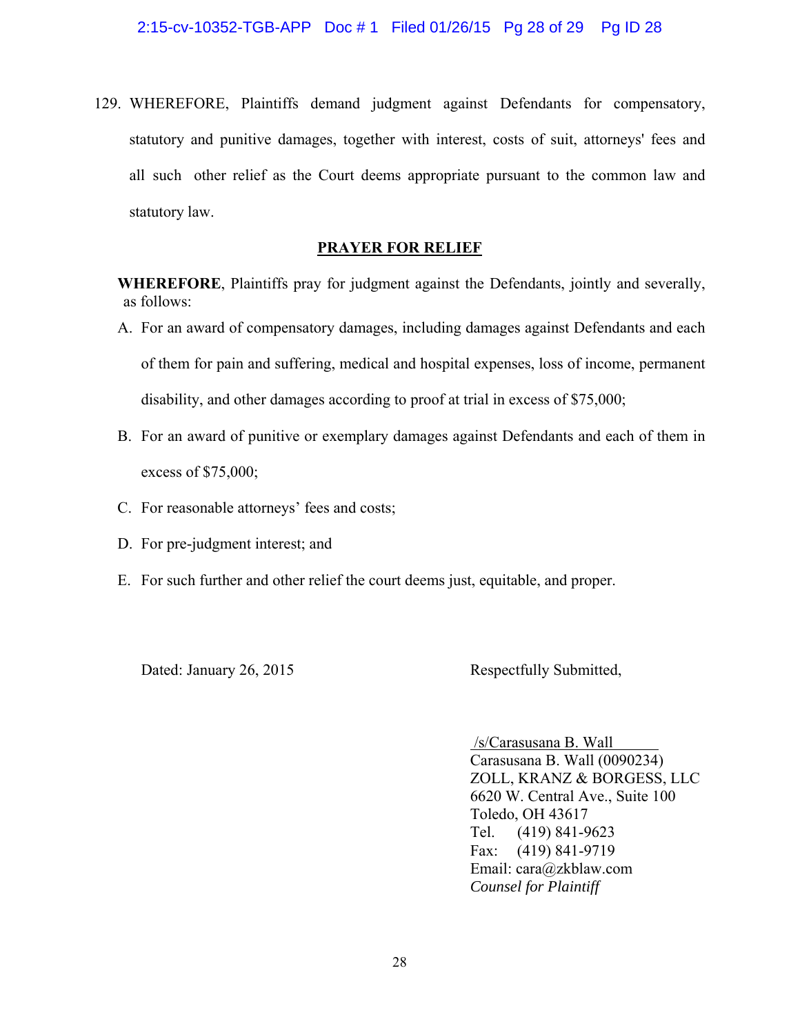129. WHEREFORE, Plaintiffs demand judgment against Defendants for compensatory, statutory and punitive damages, together with interest, costs of suit, attorneys' fees and all such other relief as the Court deems appropriate pursuant to the common law and statutory law.

#### **PRAYER FOR RELIEF**

**WHEREFORE**, Plaintiffs pray for judgment against the Defendants, jointly and severally, as follows:

- A. For an award of compensatory damages, including damages against Defendants and each of them for pain and suffering, medical and hospital expenses, loss of income, permanent disability, and other damages according to proof at trial in excess of \$75,000;
- B. For an award of punitive or exemplary damages against Defendants and each of them in excess of \$75,000;
- C. For reasonable attorneys' fees and costs;
- D. For pre-judgment interest; and
- E. For such further and other relief the court deems just, equitable, and proper.

Dated: January 26, 2015 Respectfully Submitted,

 /s/Carasusana B. Wall Carasusana B. Wall (0090234) ZOLL, KRANZ & BORGESS, LLC 6620 W. Central Ave., Suite 100 Toledo, OH 43617 Tel. (419) 841-9623 Fax: (419) 841-9719 Email: cara@zkblaw.com *Counsel for Plaintiff*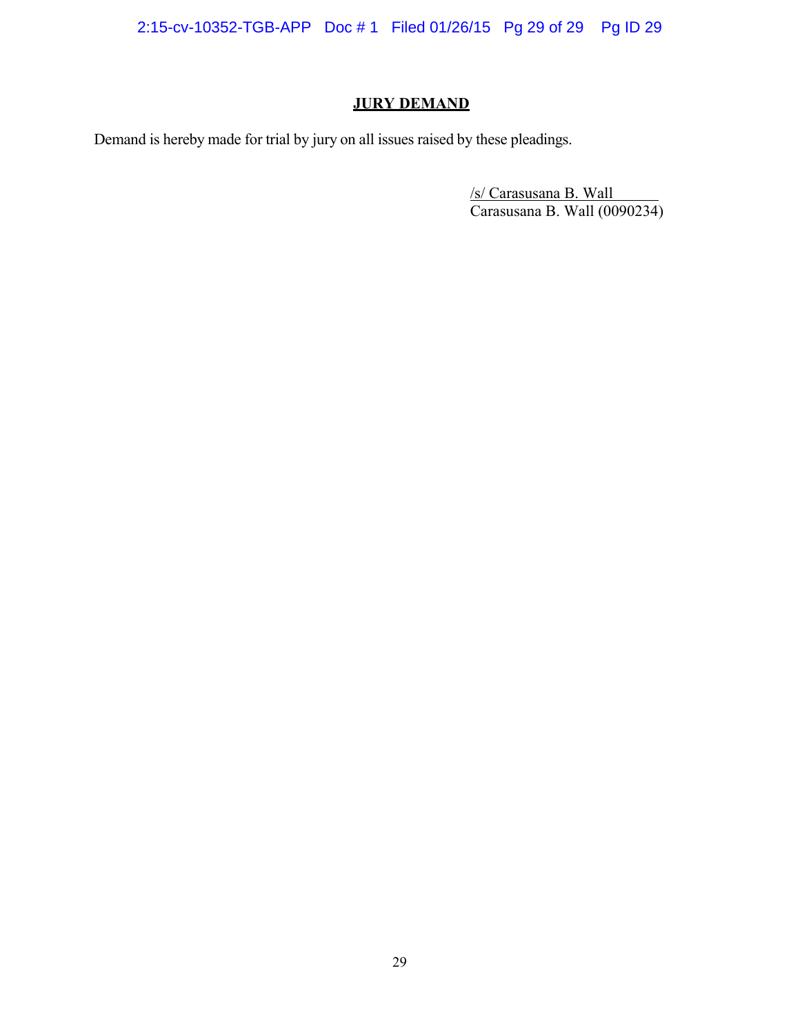2:15-cv-10352-TGB-APP Doc # 1 Filed 01/26/15 Pg 29 of 29 Pg ID 29

# **JURY DEMAND**

Demand is hereby made for trial by jury on all issues raised by these pleadings.

/s/ Carasusana B. Wall Carasusana B. Wall (0090234)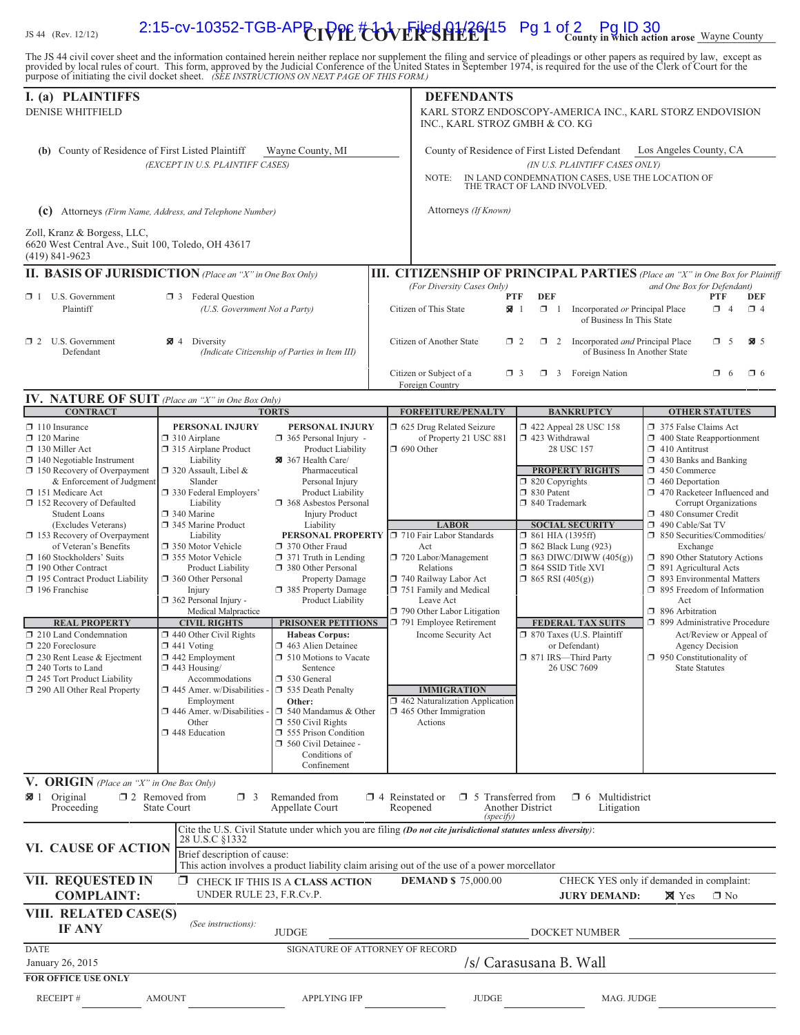# $\mathcal{L}_{L_{\text{S44}} \text{ (Rev. 12/12)}}$  2:15-CV-10352-TGB-APP DV  $\text{PPE}$   $\text{Cov}$   $\text{Cov}$   $\text{Cov}$   $\text{Cov}$   $\text{Cov}$   $\text{Cov}$   $\text{Cov}$   $\text{Cov}$   $\text{Cov}$   $\text{Cov}$   $\text{Cov}$   $\text{Cov}$   $\text{Cov}$   $\text{Cov}$   $\text{Cov}$   $\text{Cov}$   $\text{Cov}$   $\text$

The JS 44 civil cover sheet and the information contained herein neither replace nor supplement the filing and service of pleadings or other papers as required by law, except as provided by local rules of court. This form,

| I. (a) PLAINTIFFS<br><b>DENISE WHITFIELD</b>                                                                                                                                                                   |                                                                                                                                                                                                              |                                                                                                                                                                                                       | <b>DEFENDANTS</b><br>INC., KARL STROZ GMBH & CO. KG                                                                                                                                |                                                                                                                                                                        | KARL STORZ ENDOSCOPY-AMERICA INC., KARL STORZ ENDOVISION                                                                                                                                                                                                   |
|----------------------------------------------------------------------------------------------------------------------------------------------------------------------------------------------------------------|--------------------------------------------------------------------------------------------------------------------------------------------------------------------------------------------------------------|-------------------------------------------------------------------------------------------------------------------------------------------------------------------------------------------------------|------------------------------------------------------------------------------------------------------------------------------------------------------------------------------------|------------------------------------------------------------------------------------------------------------------------------------------------------------------------|------------------------------------------------------------------------------------------------------------------------------------------------------------------------------------------------------------------------------------------------------------|
| (b) County of Residence of First Listed Plaintiff<br>Wayne County, MI<br>(EXCEPT IN U.S. PLAINTIFF CASES)                                                                                                      |                                                                                                                                                                                                              | NOTE:                                                                                                                                                                                                 | County of Residence of First Listed Defendant<br>(IN U.S. PLAINTIFF CASES ONLY)<br>IN LAND CONDEMNATION CASES, USE THE LOCATION OF<br>THE TRACT OF LAND INVOLVED.                  | Los Angeles County, CA                                                                                                                                                 |                                                                                                                                                                                                                                                            |
| (c) Attorneys (Firm Name, Address, and Telephone Number)                                                                                                                                                       |                                                                                                                                                                                                              |                                                                                                                                                                                                       | Attorneys (If Known)                                                                                                                                                               |                                                                                                                                                                        |                                                                                                                                                                                                                                                            |
| Zoll, Kranz & Borgess, LLC,<br>6620 West Central Ave., Suit 100, Toledo, OH 43617<br>$(419)$ 841-9623                                                                                                          |                                                                                                                                                                                                              |                                                                                                                                                                                                       |                                                                                                                                                                                    |                                                                                                                                                                        |                                                                                                                                                                                                                                                            |
| <b>II. BASIS OF JURISDICTION</b> (Place an "X" in One Box Only)                                                                                                                                                |                                                                                                                                                                                                              |                                                                                                                                                                                                       |                                                                                                                                                                                    |                                                                                                                                                                        | <b>III. CITIZENSHIP OF PRINCIPAL PARTIES</b> (Place an "X" in One Box for Plaintiff                                                                                                                                                                        |
| $\Box$ 1 U.S. Government<br>Plaintiff                                                                                                                                                                          | <b>3</b> Federal Question<br>(U.S. Government Not a Party)                                                                                                                                                   |                                                                                                                                                                                                       | (For Diversity Cases Only)<br><b>PTF</b><br>Citizen of This State<br>X <sup>1</sup>                                                                                                | <b>DEF</b><br>$\Box$ 1<br>Incorporated or Principal Place<br>of Business In This State                                                                                 | and One Box for Defendant)<br><b>PTF</b><br>DEF<br>$\Box$ 4<br>$\Box$ 4                                                                                                                                                                                    |
| $\Box$ 2 U.S. Government<br>Defendant                                                                                                                                                                          | $\boxtimes$ 4 Diversity                                                                                                                                                                                      | (Indicate Citizenship of Parties in Item III)                                                                                                                                                         | Citizen of Another State                                                                                                                                                           | $\Box$ 2<br>1 2 Incorporated <i>and</i> Principal Place                                                                                                                | <b>X</b> 5<br>$\Box$ 5<br>of Business In Another State                                                                                                                                                                                                     |
|                                                                                                                                                                                                                |                                                                                                                                                                                                              |                                                                                                                                                                                                       | Citizen or Subject of a<br>Foreign Country                                                                                                                                         | $\Box$ 3 Foreign Nation<br>$\Box$ 3                                                                                                                                    | $\Box$ 6<br>$\Box$ 6                                                                                                                                                                                                                                       |
| <b>IV. NATURE OF SUIT</b> (Place an "X" in One Box Only)                                                                                                                                                       |                                                                                                                                                                                                              |                                                                                                                                                                                                       | <b>FORFEITURE/PENALTY</b>                                                                                                                                                          |                                                                                                                                                                        |                                                                                                                                                                                                                                                            |
| <b>CONTRACT</b><br>$\Box$ 110 Insurance                                                                                                                                                                        | PERSONAL INJURY                                                                                                                                                                                              | <b>TORTS</b><br><b>PERSONAL INJURY</b>                                                                                                                                                                | □ 625 Drug Related Seizure                                                                                                                                                         | <b>BANKRUPTCY</b><br>422 Appeal 28 USC 158                                                                                                                             | <b>OTHER STATUTES</b><br>375 False Claims Act                                                                                                                                                                                                              |
| $\Box$ 120 Marine<br>$\Box$ 130 Miller Act<br>$\Box$ 140 Negotiable Instrument<br>$\Box$ 150 Recovery of Overpayment<br>& Enforcement of Judgment<br>151 Medicare Act<br>152 Recovery of Defaulted             | $\Box$ 310 Airplane<br>315 Airplane Product<br>Liability<br>$\Box$ 320 Assault, Libel &<br>Slander<br>□ 330 Federal Employers'<br>Liability                                                                  | $\Box$ 365 Personal Injury -<br>Product Liability<br>367 Health Care/<br>Pharmaceutical<br>Personal Injury<br>Product Liability<br>368 Asbestos Personal                                              | of Property 21 USC 881<br><b>1 690 Other</b>                                                                                                                                       | $\Box$ 423 Withdrawal<br>28 USC 157<br><b>PROPERTY RIGHTS</b><br>$\Box$ 820 Copyrights<br>□ 830 Patent<br>□ 840 Trademark                                              | $\Box$ 400 State Reapportionment<br>$\Box$ 410 Antitrust<br>$\Box$ 430 Banks and Banking<br>450 Commerce<br>$\Box$ 460 Deportation<br>1 470 Racketeer Influenced and<br>Corrupt Organizations                                                              |
| Student Loans<br>(Excludes Veterans)<br>$\Box$ 153 Recovery of Overpayment<br>of Veteran's Benefits<br>160 Stockholders' Suits<br>190 Other Contract<br>195 Contract Product Liability<br>$\Box$ 196 Franchise | 340 Marine<br>345 Marine Product<br>Liability<br>□ 350 Motor Vehicle<br>355 Motor Vehicle<br><b>Product Liability</b><br>360 Other Personal<br>Injury<br>$\Box$ 362 Personal Injury -<br>Medical Malpractice | <b>Injury Product</b><br>Liability<br>PERSONAL PROPERTY<br>370 Other Fraud<br>$\Box$ 371 Truth in Lending<br>380 Other Personal<br><b>Property Damage</b><br>385 Property Damage<br>Product Liability | <b>LABOR</b><br>710 Fair Labor Standards<br>Act<br>720 Labor/Management<br>Relations<br>740 Railway Labor Act<br>751 Family and Medical<br>Leave Act<br>790 Other Labor Litigation | <b>SOCIAL SECURITY</b><br>$\Box$ 861 HIA (1395ff)<br><b>1</b> 862 Black Lung (923)<br>$\Box$ 863 DIWC/DIWW (405(g))<br>□ 864 SSID Title XVI<br>$\Box$ 865 RSI (405(g)) | 480 Consumer Credit<br>490 Cable/Sat TV<br>□ 850 Securities/Commodities/<br>Exchange<br>□ 890 Other Statutory Actions<br>$\Box$ 891 Agricultural Acts<br>□ 893 Environmental Matters<br>$\Box$ 895 Freedom of Information<br>Act<br>$\Box$ 896 Arbitration |
| <b>REAL PROPERTY</b>                                                                                                                                                                                           | <b>CIVIL RIGHTS</b>                                                                                                                                                                                          | <b>PRISONER PETITIONS</b>                                                                                                                                                                             | 791 Employee Retirement                                                                                                                                                            | <b>FEDERAL TAX SUITS</b>                                                                                                                                               | 1 899 Administrative Procedure                                                                                                                                                                                                                             |
| $\Box$ 210 Land Condemnation<br>220 Foreclosure<br>□ 230 Rent Lease & Ejectment<br>240 Torts to Land<br>245 Tort Product Liability                                                                             | $\Box$ 440 Other Civil Rights<br>$\Box$ 441 Voting<br>$\Box$ 442 Employment<br>$\Box$ 443 Housing/<br>Accommodations                                                                                         | <b>Habeas Corpus:</b><br>$\Box$ 463 Alien Detainee<br>$\Box$ 510 Motions to Vacate<br>Sentence<br>530 General                                                                                         | Income Security Act                                                                                                                                                                | □ 870 Taxes (U.S. Plaintiff<br>or Defendant)<br>□ 871 IRS-Third Party<br>26 USC 7609                                                                                   | Act/Review or Appeal of<br><b>Agency Decision</b><br>$\Box$ 950 Constitutionality of<br><b>State Statutes</b>                                                                                                                                              |
| 290 All Other Real Property                                                                                                                                                                                    | 445 Amer. w/Disabilities -<br>Employment                                                                                                                                                                     | <sup>1</sup> 535 Death Penalty<br>Other:                                                                                                                                                              | <b>IMMIGRATION</b><br>1462 Naturalization Application                                                                                                                              |                                                                                                                                                                        |                                                                                                                                                                                                                                                            |
|                                                                                                                                                                                                                | $\Box$ 446 Amer. w/Disabilities -<br>Other<br>448 Education                                                                                                                                                  | $\Box$ 540 Mandamus & Other<br>$\Box$ 550 Civil Rights<br>555 Prison Condition<br>560 Civil Detainee -<br>Conditions of<br>Confinement                                                                | $\Box$ 465 Other Immigration<br>Actions                                                                                                                                            |                                                                                                                                                                        |                                                                                                                                                                                                                                                            |
| V. ORIGIN (Place an "X" in One Box Only)                                                                                                                                                                       |                                                                                                                                                                                                              |                                                                                                                                                                                                       |                                                                                                                                                                                    |                                                                                                                                                                        |                                                                                                                                                                                                                                                            |
| <b>图</b> 1 Original<br>Proceeding                                                                                                                                                                              | $\square$ 2 Removed from<br>$\Box$ 3<br><b>State Court</b>                                                                                                                                                   | Remanded from<br>Appellate Court                                                                                                                                                                      | $\Box$ 4 Reinstated or $\Box$ 5 Transferred from<br>Reopened<br>(specify)                                                                                                          | $\Box$ 6 Multidistrict<br>Another District<br>Litigation                                                                                                               |                                                                                                                                                                                                                                                            |
| VI. CAUSE OF ACTION                                                                                                                                                                                            | 28 U.S.C §1332<br>Brief description of cause:                                                                                                                                                                |                                                                                                                                                                                                       | Cite the U.S. Civil Statute under which you are filing (Do not cite jurisdictional statutes unless diversity):                                                                     |                                                                                                                                                                        |                                                                                                                                                                                                                                                            |
|                                                                                                                                                                                                                |                                                                                                                                                                                                              |                                                                                                                                                                                                       | This action involves a product liability claim arising out of the use of a power morcellator                                                                                       |                                                                                                                                                                        |                                                                                                                                                                                                                                                            |
| VII. REQUESTED IN<br><b>COMPLAINT:</b>                                                                                                                                                                         | ο.<br>UNDER RULE 23, F.R.Cv.P.                                                                                                                                                                               | CHECK IF THIS IS A CLASS ACTION                                                                                                                                                                       | <b>DEMAND \$75,000.00</b>                                                                                                                                                          | <b>JURY DEMAND:</b>                                                                                                                                                    | CHECK YES only if demanded in complaint:<br><b>X</b> Yes<br>$\Box$ No                                                                                                                                                                                      |
| VIII. RELATED CASE(S)<br><b>IF ANY</b>                                                                                                                                                                         | (See instructions):                                                                                                                                                                                          | <b>JUDGE</b>                                                                                                                                                                                          |                                                                                                                                                                                    | DOCKET NUMBER                                                                                                                                                          |                                                                                                                                                                                                                                                            |
| <b>DATE</b><br>January 26, 2015                                                                                                                                                                                |                                                                                                                                                                                                              | SIGNATURE OF ATTORNEY OF RECORD                                                                                                                                                                       |                                                                                                                                                                                    | /s/ Carasusana B. Wall                                                                                                                                                 |                                                                                                                                                                                                                                                            |
| <b>FOR OFFICE USE ONLY</b><br>RECEIPT#                                                                                                                                                                         | <b>AMOUNT</b>                                                                                                                                                                                                | <b>APPLYING IFP</b>                                                                                                                                                                                   | <b>JUDGE</b>                                                                                                                                                                       | MAG. JUDGE                                                                                                                                                             |                                                                                                                                                                                                                                                            |
|                                                                                                                                                                                                                |                                                                                                                                                                                                              |                                                                                                                                                                                                       |                                                                                                                                                                                    |                                                                                                                                                                        |                                                                                                                                                                                                                                                            |